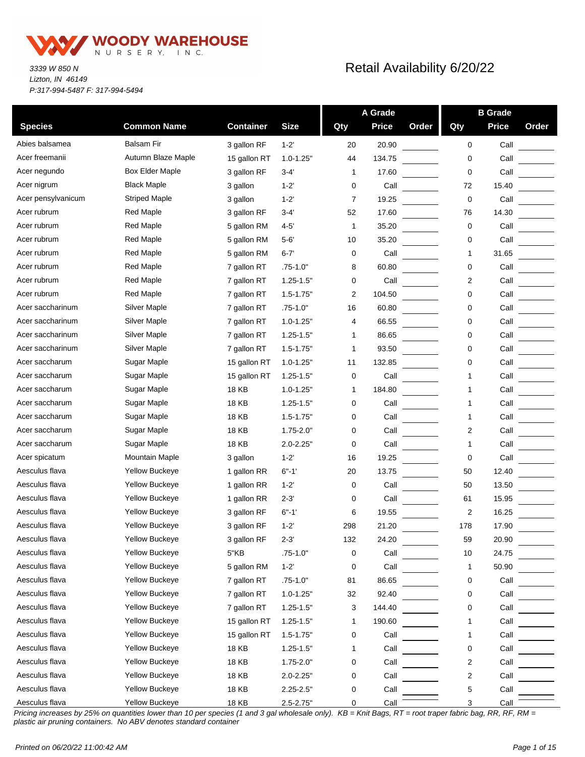

*3339 W 850 N Lizton, IN 46149 P:317-994-5487 F: 317-994-5494*

### Retail Availability 6/20/22

|                    |                       |                  |                |              | A Grade      |       |     | <b>B</b> Grade |       |
|--------------------|-----------------------|------------------|----------------|--------------|--------------|-------|-----|----------------|-------|
| <b>Species</b>     | <b>Common Name</b>    | <b>Container</b> | <b>Size</b>    | Qty          | <b>Price</b> | Order | Qty | <b>Price</b>   | Order |
| Abies balsamea     | Balsam Fir            | 3 gallon RF      | $1 - 2'$       | 20           | 20.90        |       | 0   | Call           |       |
| Acer freemanii     | Autumn Blaze Maple    | 15 gallon RT     | $1.0 - 1.25$ " | 44           | 134.75       |       | 0   | Call           |       |
| Acer negundo       | Box Elder Maple       | 3 gallon RF      | $3 - 4'$       | 1            | 17.60        |       | 0   | Call           |       |
| Acer nigrum        | <b>Black Maple</b>    | 3 gallon         | $1 - 2'$       | 0            | Call         |       | 72  | 15.40          |       |
| Acer pensylvanicum | Striped Maple         | 3 gallon         | $1 - 2'$       | 7            | 19.25        |       | 0   | Call           |       |
| Acer rubrum        | <b>Red Maple</b>      | 3 gallon RF      | $3 - 4'$       | 52           | 17.60        |       | 76  | 14.30          |       |
| Acer rubrum        | <b>Red Maple</b>      | 5 gallon RM      | $4 - 5'$       | 1            | 35.20        |       | 0   | Call           |       |
| Acer rubrum        | <b>Red Maple</b>      | 5 gallon RM      | $5 - 6'$       | 10           | 35.20        |       | 0   | Call           |       |
| Acer rubrum        | <b>Red Maple</b>      | 5 gallon RM      | $6 - 7'$       | 0            | Call         |       | 1   | 31.65          |       |
| Acer rubrum        | <b>Red Maple</b>      | 7 gallon RT      | $.75 - 1.0"$   | 8            | 60.80        |       | 0   | Call           |       |
| Acer rubrum        | <b>Red Maple</b>      | 7 gallon RT      | $1.25 - 1.5"$  | 0            | Call         |       | 2   | Call           |       |
| Acer rubrum        | <b>Red Maple</b>      | 7 gallon RT      | $1.5 - 1.75"$  | 2            | 104.50       |       | 0   | Call           |       |
| Acer saccharinum   | Silver Maple          | 7 gallon RT      | $.75 - 1.0"$   | 16           | 60.80        |       | 0   | Call           |       |
| Acer saccharinum   | <b>Silver Maple</b>   | 7 gallon RT      | $1.0 - 1.25"$  | 4            | 66.55        |       | 0   | Call           |       |
| Acer saccharinum   | Silver Maple          | 7 gallon RT      | $1.25 - 1.5"$  | 1            | 86.65        |       | 0   | Call           |       |
| Acer saccharinum   | Silver Maple          | 7 gallon RT      | $1.5 - 1.75"$  | 1            | 93.50        |       | 0   | Call           |       |
| Acer saccharum     | Sugar Maple           | 15 gallon RT     | $1.0 - 1.25"$  | 11           | 132.85       |       | 0   | Call           |       |
| Acer saccharum     | Sugar Maple           | 15 gallon RT     | $1.25 - 1.5"$  | 0            | Call         |       | 1   | Call           |       |
| Acer saccharum     | Sugar Maple           | 18 KB            | $1.0 - 1.25"$  | 1            | 184.80       |       | 1   | Call           |       |
| Acer saccharum     | Sugar Maple           | 18 KB            | $1.25 - 1.5"$  | 0            | Call         |       | 1   | Call           |       |
| Acer saccharum     | Sugar Maple           | <b>18 KB</b>     | $1.5 - 1.75"$  | 0            | Call         |       | 1   | Call           |       |
| Acer saccharum     | Sugar Maple           | 18 KB            | $1.75 - 2.0"$  | 0            | Call         |       | 2   | Call           |       |
| Acer saccharum     | Sugar Maple           | 18 KB            | $2.0 - 2.25"$  | 0            | Call         |       | 1   | Call           |       |
| Acer spicatum      | <b>Mountain Maple</b> | 3 gallon         | $1 - 2'$       | 16           | 19.25        |       | 0   | Call           |       |
| Aesculus flava     | <b>Yellow Buckeye</b> | 1 gallon RR      | $6 - 1$        | 20           | 13.75        |       | 50  | 12.40          |       |
| Aesculus flava     | Yellow Buckeye        | 1 gallon RR      | $1 - 2'$       | 0            | Call         |       | 50  | 13.50          |       |
| Aesculus flava     | Yellow Buckeye        | 1 gallon RR      | $2 - 3'$       | 0            | Call         |       | 61  | 15.95          |       |
| Aesculus flava     | <b>Yellow Buckeye</b> | 3 gallon RF      | $6 - 1'$       | 6            | 19.55        |       | 2   | 16.25          |       |
| Aesculus flava     | Yellow Buckeye        | 3 gallon RF      | $1 - 2'$       | 298          | 21.20        |       | 178 | 17.90          |       |
| Aesculus flava     | Yellow Buckeye        | 3 gallon RF      | $2 - 3'$       | 132          | 24.20        |       | 59  | 20.90          |       |
| Aesculus flava     | Yellow Buckeye        | 5"KB             | $.75 - 1.0"$   | 0            | Call         |       | 10  | 24.75          |       |
| Aesculus flava     | Yellow Buckeye        | 5 gallon RM      | $1 - 2'$       | 0            | Call         |       | 1   | 50.90          |       |
| Aesculus flava     | <b>Yellow Buckeye</b> | 7 gallon RT      | $.75 - 1.0"$   | 81           | 86.65        |       | 0   | Call           |       |
| Aesculus flava     | Yellow Buckeye        | 7 gallon RT      | $1.0 - 1.25"$  | 32           | 92.40        |       | 0   | Call           |       |
| Aesculus flava     | Yellow Buckeye        | 7 gallon RT      | $1.25 - 1.5"$  | 3            | 144.40       |       | 0   | Call           |       |
| Aesculus flava     | Yellow Buckeye        | 15 gallon RT     | $1.25 - 1.5"$  | 1            | 190.60       |       | 1   | Call           |       |
| Aesculus flava     | <b>Yellow Buckeye</b> | 15 gallon RT     | $1.5 - 1.75"$  | 0            | Call         |       | 1   | Call           |       |
| Aesculus flava     | Yellow Buckeye        | <b>18 KB</b>     | $1.25 - 1.5"$  | $\mathbf{1}$ | Call         |       | 0   | Call           |       |
| Aesculus flava     | Yellow Buckeye        | 18 KB            | $1.75 - 2.0"$  | 0            | Call         |       | 2   | Call           |       |
| Aesculus flava     | Yellow Buckeye        | 18 KB            | $2.0 - 2.25"$  | 0            | Call         |       | 2   | Call           |       |
| Aesculus flava     | <b>Yellow Buckeye</b> | 18 KB            | $2.25 - 2.5"$  | 0            | Call         |       | 5   | Call           |       |
| Aesculus flava     | Yellow Buckeye        | <b>18 KB</b>     | $2.5 - 2.75"$  | 0            | Call         |       | 3   | Call           |       |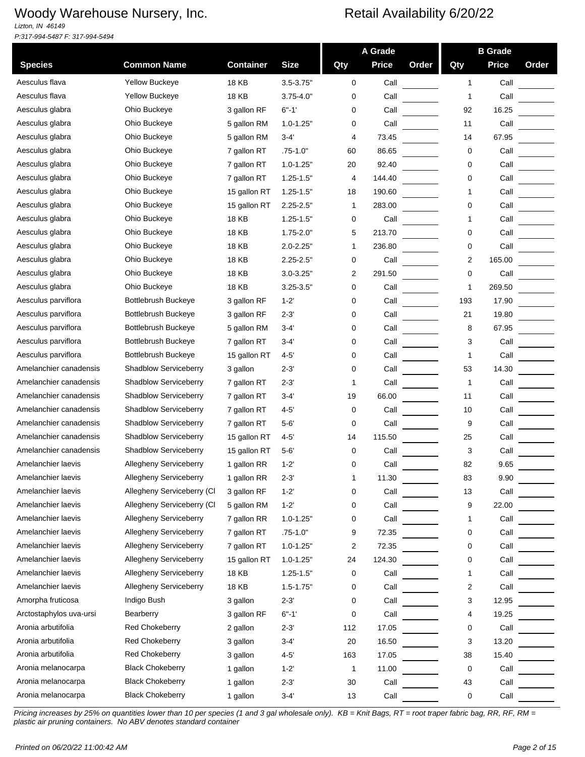*Lizton, IN 46149 P:317-994-5487 F: 317-994-5494*

|                         |                               |                  |               |     | A Grade      |       |     | <b>B</b> Grade |       |
|-------------------------|-------------------------------|------------------|---------------|-----|--------------|-------|-----|----------------|-------|
| <b>Species</b>          | <b>Common Name</b>            | <b>Container</b> | <b>Size</b>   | Qty | <b>Price</b> | Order | Qty | <b>Price</b>   | Order |
| Aesculus flava          | Yellow Buckeye                | 18 KB            | $3.5 - 3.75"$ | 0   | Call         |       | 1   | Call           |       |
| Aesculus flava          | <b>Yellow Buckeye</b>         | <b>18 KB</b>     | $3.75 - 4.0"$ | 0   | Call         |       | 1   | Call           |       |
| Aesculus glabra         | Ohio Buckeye                  | 3 gallon RF      | $6 - 1'$      | 0   | Call         |       | 92  | 16.25          |       |
| Aesculus glabra         | Ohio Buckeye                  | 5 gallon RM      | $1.0 - 1.25"$ | 0   | Call         |       | 11  | Call           |       |
| Aesculus glabra         | Ohio Buckeye                  | 5 gallon RM      | $3 - 4'$      | 4   | 73.45        |       | 14  | 67.95          |       |
| Aesculus glabra         | Ohio Buckeye                  | 7 gallon RT      | $.75 - 1.0"$  | 60  | 86.65        |       | 0   | Call           |       |
| Aesculus glabra         | Ohio Buckeye                  | 7 gallon RT      | $1.0 - 1.25"$ | 20  | 92.40        |       | 0   | Call           |       |
| Aesculus glabra         | Ohio Buckeye                  | 7 gallon RT      | $1.25 - 1.5"$ | 4   | 144.40       |       | 0   | Call           |       |
| Aesculus glabra         | Ohio Buckeye                  | 15 gallon RT     | $1.25 - 1.5"$ | 18  | 190.60       |       | 1   | Call           |       |
| Aesculus glabra         | Ohio Buckeye                  | 15 gallon RT     | $2.25 - 2.5"$ | 1   | 283.00       |       | 0   | Call           |       |
| Aesculus glabra         | Ohio Buckeye                  | <b>18 KB</b>     | $1.25 - 1.5"$ | 0   | Call         |       | 1   | Call           |       |
| Aesculus glabra         | Ohio Buckeye                  | 18 KB            | $1.75 - 2.0"$ | 5   | 213.70       |       | 0   | Call           |       |
| Aesculus glabra         | Ohio Buckeye                  | 18 KB            | $2.0 - 2.25"$ | 1   | 236.80       |       | 0   | Call           |       |
| Aesculus glabra         | Ohio Buckeye                  | 18 KB            | $2.25 - 2.5"$ | 0   | Call         |       | 2   | 165.00         |       |
| Aesculus glabra         | Ohio Buckeye                  | 18 KB            | $3.0 - 3.25"$ | 2   | 291.50       |       | 0   | Call           |       |
| Aesculus glabra         | Ohio Buckeye                  | <b>18 KB</b>     | $3.25 - 3.5"$ | 0   | Call         |       | 1   | 269.50         |       |
| Aesculus parviflora     | <b>Bottlebrush Buckeye</b>    | 3 gallon RF      | $1 - 2$       | 0   | Call         |       | 193 | 17.90          |       |
| Aesculus parviflora     | <b>Bottlebrush Buckeye</b>    | 3 gallon RF      | $2 - 3'$      | 0   | Call         |       | 21  | 19.80          |       |
| Aesculus parviflora     | <b>Bottlebrush Buckeye</b>    | 5 gallon RM      | 3-4'          | 0   | Call         |       | 8   | 67.95          |       |
| Aesculus parviflora     | Bottlebrush Buckeye           | 7 gallon RT      | 3-4'          | 0   | Call         |       | 3   | Call           |       |
| Aesculus parviflora     | <b>Bottlebrush Buckeye</b>    | 15 gallon RT     | $4-5$         | 0   | Call         |       | 1   | Call           |       |
| Amelanchier canadensis  | <b>Shadblow Serviceberry</b>  | 3 gallon         | $2 - 3'$      | 0   | Call         |       | 53  | 14.30          |       |
| Amelanchier canadensis  | <b>Shadblow Serviceberry</b>  | 7 gallon RT      | 2-3'          | 1   | Call         |       | 1   | Call           |       |
| Amelanchier canadensis  | <b>Shadblow Serviceberry</b>  | 7 gallon RT      | 3-4'          | 19  | 66.00        |       | 11  | Call           |       |
| Amelanchier canadensis  | Shadblow Serviceberry         | 7 gallon RT      | 4-5'          | 0   | Call         |       | 10  | Call           |       |
| Amelanchier canadensis  | <b>Shadblow Serviceberry</b>  | 7 gallon RT      | $5 - 6'$      | 0   | Call         |       | 9   | Call           |       |
| Amelanchier canadensis  | Shadblow Serviceberry         | 15 gallon RT     | $4 - 5'$      | 14  | 115.50       |       | 25  | Call           |       |
| Amelanchier canadensis  | Shadblow Serviceberry         | 15 gallon RT     | $5 - 6'$      | 0   | Call         |       | 3   | Call           |       |
| Amelanchier laevis      | <b>Allegheny Serviceberry</b> | 1 gallon RR      | $1 - 2$       | 0   | Call         |       | 82  | 9.65           |       |
| Amelanchier laevis      | Allegheny Serviceberry        | 1 gallon RR      | $2 - 3'$      | 1   | 11.30        |       | 83  | 9.90           |       |
| Amelanchier laevis      | Allegheny Serviceberry (CI    | 3 gallon RF      | $1 - 2'$      | 0   | Call         |       | 13  | Call           |       |
| Amelanchier laevis      | Allegheny Serviceberry (CI    | 5 gallon RM      | $1 - 2'$      | 0   | Call         |       | 9   | 22.00          |       |
| Amelanchier laevis      | Allegheny Serviceberry        | 7 gallon RR      | $1.0 - 1.25"$ | 0   | Call         |       | 1   | Call           |       |
| Amelanchier laevis      | Allegheny Serviceberry        | 7 gallon RT      | $.75 - 1.0"$  | 9   | 72.35        |       | 0   | Call           |       |
| Amelanchier laevis      | Allegheny Serviceberry        | 7 gallon RT      | $1.0 - 1.25"$ | 2   | 72.35        |       | 0   | Call           |       |
| Amelanchier laevis      | Allegheny Serviceberry        | 15 gallon RT     | $1.0 - 1.25"$ | 24  | 124.30       |       | 0   | Call           |       |
| Amelanchier laevis      | Allegheny Serviceberry        | <b>18 KB</b>     | $1.25 - 1.5"$ | 0   | Call         |       | 1   | Call           |       |
| Amelanchier laevis      | Allegheny Serviceberry        | 18 KB            | $1.5 - 1.75"$ | 0   | Call         |       | 2   | Call           |       |
| Amorpha fruticosa       | Indigo Bush                   | 3 gallon         | $2 - 3'$      | 0   | Call         |       | 3   | 12.95          |       |
| Arctostaphylos uva-ursi | Bearberry                     | 3 gallon RF      | $6 - 1'$      | 0   | Call         |       | 4   | 19.25          |       |
| Aronia arbutifolia      | Red Chokeberry                | 2 gallon         | $2 - 3'$      | 112 | 17.05        |       | 0   | Call           |       |
| Aronia arbutifolia      | <b>Red Chokeberry</b>         | 3 gallon         | 3-4'          | 20  | 16.50        |       | 3   | 13.20          |       |
| Aronia arbutifolia      | Red Chokeberry                | 3 gallon         | $4 - 5'$      | 163 | 17.05        |       | 38  | 15.40          |       |
| Aronia melanocarpa      | <b>Black Chokeberry</b>       | 1 gallon         | $1 - 2'$      | 1   | 11.00        |       | 0   | Call           |       |
| Aronia melanocarpa      | <b>Black Chokeberry</b>       | 1 gallon         | $2 - 3'$      | 30  | Call         |       | 43  | Call           |       |
| Aronia melanocarpa      | <b>Black Chokeberry</b>       | 1 gallon         | $3 - 4'$      | 13  | Call         |       | 0   | Call           |       |
|                         |                               |                  |               |     |              |       |     |                |       |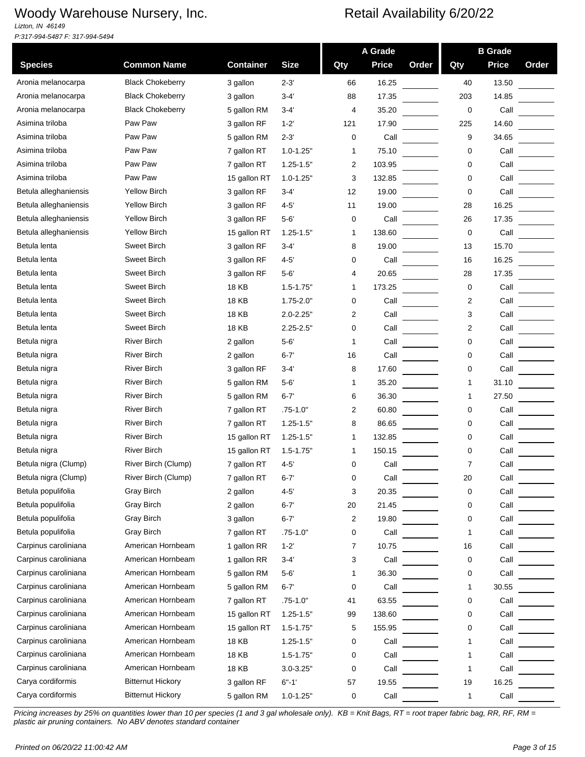*Lizton, IN 46149 P:317-994-5487 F: 317-994-5494*

|                       |                          |                  |               |     | A Grade      |       |             | <b>B</b> Grade |       |
|-----------------------|--------------------------|------------------|---------------|-----|--------------|-------|-------------|----------------|-------|
| <b>Species</b>        | <b>Common Name</b>       | <b>Container</b> | <b>Size</b>   | Qty | <b>Price</b> | Order | Qty         | <b>Price</b>   | Order |
| Aronia melanocarpa    | <b>Black Chokeberry</b>  | 3 gallon         | $2 - 3'$      | 66  | 16.25        |       | 40          | 13.50          |       |
| Aronia melanocarpa    | <b>Black Chokeberry</b>  | 3 gallon         | $3 - 4'$      | 88  | 17.35        |       | 203         | 14.85          |       |
| Aronia melanocarpa    | <b>Black Chokeberry</b>  | 5 gallon RM      | 3-4'          | 4   | 35.20        |       | $\mathbf 0$ | Call           |       |
| Asimina triloba       | Paw Paw                  | 3 gallon RF      | $1 - 2'$      | 121 | 17.90        |       | 225         | 14.60          |       |
| Asimina triloba       | Paw Paw                  | 5 gallon RM      | $2 - 3'$      | 0   | Call         |       | 9           | 34.65          |       |
| Asimina triloba       | Paw Paw                  | 7 gallon RT      | $1.0 - 1.25"$ | 1   | 75.10        |       | 0           | Call           |       |
| Asimina triloba       | Paw Paw                  | 7 gallon RT      | $1.25 - 1.5"$ | 2   | 103.95       |       | 0           | Call           |       |
| Asimina triloba       | Paw Paw                  | 15 gallon RT     | $1.0 - 1.25"$ | 3   | 132.85       |       | 0           | Call           |       |
| Betula alleghaniensis | <b>Yellow Birch</b>      | 3 gallon RF      | $3-4'$        | 12  | 19.00        |       | 0           | Call           |       |
| Betula alleghaniensis | <b>Yellow Birch</b>      | 3 gallon RF      | $4 - 5'$      | 11  | 19.00        |       | 28          | 16.25          |       |
| Betula alleghaniensis | <b>Yellow Birch</b>      | 3 gallon RF      | $5 - 6'$      | 0   | Call         |       | 26          | 17.35          |       |
| Betula alleghaniensis | <b>Yellow Birch</b>      | 15 gallon RT     | $1.25 - 1.5$  | -1  | 138.60       |       | 0           | Call           |       |
| Betula lenta          | <b>Sweet Birch</b>       | 3 gallon RF      | $3 - 4'$      | 8   | 19.00        |       | 13          | 15.70          |       |
| Betula lenta          | <b>Sweet Birch</b>       | 3 gallon RF      | $4 - 5'$      | 0   | Call         |       | 16          | 16.25          |       |
| Betula lenta          | <b>Sweet Birch</b>       | 3 gallon RF      | $5 - 6'$      | 4   | 20.65        |       | 28          | 17.35          |       |
| Betula lenta          | <b>Sweet Birch</b>       | <b>18 KB</b>     | $1.5 - 1.75"$ | 1   | 173.25       |       | 0           | Call           |       |
| Betula lenta          | <b>Sweet Birch</b>       | <b>18 KB</b>     | $1.75 - 2.0"$ | 0   | Call         |       | 2           | Call           |       |
| Betula lenta          | <b>Sweet Birch</b>       | <b>18 KB</b>     | $2.0 - 2.25"$ | 2   | Call         |       | 3           | Call           |       |
| Betula lenta          | <b>Sweet Birch</b>       | <b>18 KB</b>     | $2.25 - 2.5"$ | 0   | Call         |       | 2           | Call           |       |
| Betula nigra          | <b>River Birch</b>       | 2 gallon         | $5 - 6'$      | 1   | Call         |       | 0           | Call           |       |
| Betula nigra          | <b>River Birch</b>       | 2 gallon         | $6 - 7$       | 16  | Call         |       | 0           | Call           |       |
| Betula nigra          | <b>River Birch</b>       | 3 gallon RF      | $3-4'$        | 8   | 17.60        |       | 0           | Call           |       |
| Betula nigra          | <b>River Birch</b>       | 5 gallon RM      | $5 - 6'$      | 1   | 35.20        |       | 1           | 31.10          |       |
| Betula nigra          | <b>River Birch</b>       | 5 gallon RM      | $6 - 7'$      | 6   | 36.30        |       | 1           | 27.50          |       |
| Betula nigra          | <b>River Birch</b>       | 7 gallon RT      | $.75 - 1.0"$  | 2   | 60.80        |       | 0           | Call           |       |
| Betula nigra          | River Birch              | 7 gallon RT      | $1.25 - 1.5"$ | 8   | 86.65        |       | 0           | Call           |       |
| Betula nigra          | <b>River Birch</b>       | 15 gallon RT     | $1.25 - 1.5"$ | 1   | 132.85       |       | 0           | Call           |       |
| Betula nigra          | <b>River Birch</b>       | 15 gallon RT     | $1.5 - 1.75"$ | 1   | 150.15       |       | 0           | Call           |       |
| Betula nigra (Clump)  | River Birch (Clump)      | 7 gallon RT      | $4 - 5'$      | 0   | Call         |       | 7           | Call           |       |
| Betula nigra (Clump)  | River Birch (Clump)      | 7 gallon RT      | $6 - 7$       | U   | Call         |       | 20          | Call           |       |
| Betula populifolia    | Gray Birch               | 2 gallon         | $4 - 5'$      | 3   | 20.35        |       | 0           | Call           |       |
| Betula populifolia    | Gray Birch               | 2 gallon         | $6 - 7'$      | 20  | 21.45        |       | 0           | Call           |       |
| Betula populifolia    | Gray Birch               | 3 gallon         | $6 - 7'$      | 2   | 19.80        |       | 0           | Call           |       |
| Betula populifolia    | <b>Gray Birch</b>        | 7 gallon RT      | .75-1.0"      | 0   | Call         |       | 1           | Call           |       |
| Carpinus caroliniana  | American Hornbeam        | 1 gallon RR      | $1 - 2'$      | 7   | 10.75        |       | 16          | Call           |       |
| Carpinus caroliniana  | American Hornbeam        | 1 gallon RR      | $3 - 4'$      | 3   | Call         |       | 0           | Call           |       |
| Carpinus caroliniana  | American Hornbeam        | 5 gallon RM      | $5 - 6'$      | 1   | 36.30        |       | 0           | Call           |       |
| Carpinus caroliniana  | American Hornbeam        | 5 gallon RM      | $6 - 7'$      | 0   | Call         |       | 1           | 30.55          |       |
| Carpinus caroliniana  | American Hornbeam        | 7 gallon RT      | $.75 - 1.0"$  | 41  | 63.55        |       | 0           | Call           |       |
| Carpinus caroliniana  | American Hornbeam        | 15 gallon RT     | $1.25 - 1.5"$ | 99  | 138.60       |       | 0           | Call           |       |
| Carpinus caroliniana  | American Hornbeam        | 15 gallon RT     | $1.5 - 1.75"$ | 5   | 155.95       |       | 0           | Call           |       |
| Carpinus caroliniana  | American Hornbeam        | 18 KB            | $1.25 - 1.5"$ | 0   | Call         |       | 1           | Call           |       |
| Carpinus caroliniana  | American Hornbeam        | <b>18 KB</b>     | $1.5 - 1.75"$ | 0   | Call         |       |             | Call           |       |
| Carpinus caroliniana  | American Hornbeam        | <b>18 KB</b>     | $3.0 - 3.25"$ | 0   | Call         |       | 1           | Call           |       |
| Carya cordiformis     | <b>Bitternut Hickory</b> | 3 gallon RF      | $6" - 1'$     | 57  | 19.55        |       | 19          | 16.25          |       |
| Carya cordiformis     | <b>Bitternut Hickory</b> | 5 gallon RM      | $1.0 - 1.25"$ | 0   | Call         |       | 1           | Call           |       |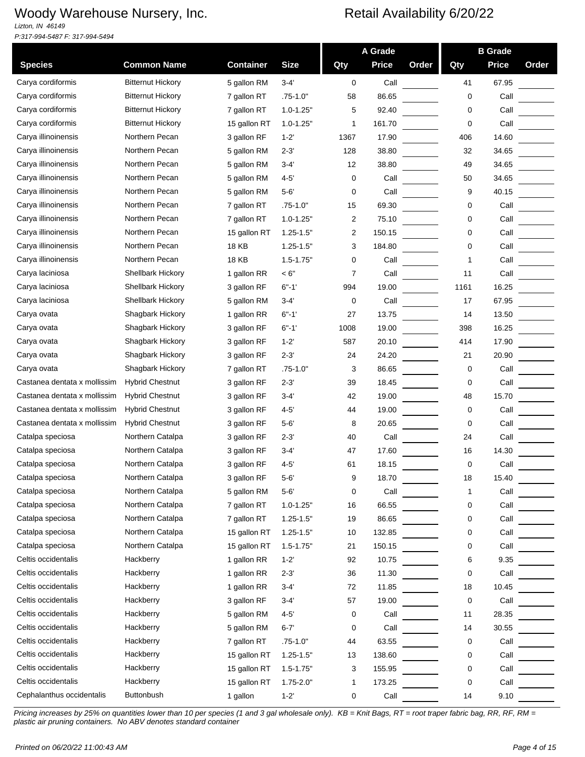*Lizton, IN 46149 P:317-994-5487 F: 317-994-5494*

|                              |                          |                  |               |      | A Grade      |       |      | <b>B</b> Grade |       |
|------------------------------|--------------------------|------------------|---------------|------|--------------|-------|------|----------------|-------|
| <b>Species</b>               | <b>Common Name</b>       | <b>Container</b> | <b>Size</b>   | Qty  | <b>Price</b> | Order | Qty  | <b>Price</b>   | Order |
| Carva cordiformis            | <b>Bitternut Hickory</b> | 5 gallon RM      | $3 - 4'$      | 0    | Call         |       | 41   | 67.95          |       |
| Carya cordiformis            | <b>Bitternut Hickory</b> | 7 gallon RT      | $.75 - 1.0"$  | 58   | 86.65        |       | 0    | Call           |       |
| Carya cordiformis            | <b>Bitternut Hickory</b> | 7 gallon RT      | $1.0 - 1.25"$ | 5    | 92.40        |       | 0    | Call           |       |
| Carya cordiformis            | <b>Bitternut Hickory</b> | 15 gallon RT     | $1.0 - 1.25"$ | 1    | 161.70       |       | 0    | Call           |       |
| Carya illinoinensis          | Northern Pecan           | 3 gallon RF      | $1 - 2'$      | 1367 | 17.90        |       | 406  | 14.60          |       |
| Carya illinoinensis          | Northern Pecan           | 5 gallon RM      | $2 - 3'$      | 128  | 38.80        |       | 32   | 34.65          |       |
| Carya illinoinensis          | Northern Pecan           | 5 gallon RM      | $3 - 4'$      | 12   | 38.80        |       | 49   | 34.65          |       |
| Carya illinoinensis          | Northern Pecan           | 5 gallon RM      | $4 - 5'$      | 0    | Call         |       | 50   | 34.65          |       |
| Carya illinoinensis          | Northern Pecan           | 5 gallon RM      | $5-6'$        | 0    | Call         |       | 9    | 40.15          |       |
| Carya illinoinensis          | Northern Pecan           | 7 gallon RT      | $.75 - 1.0"$  | 15   | 69.30        |       | 0    | Call           |       |
| Carya illinoinensis          | Northern Pecan           | 7 gallon RT      | $1.0 - 1.25"$ | 2    | 75.10        |       | 0    | Call           |       |
| Carya illinoinensis          | Northern Pecan           | 15 gallon RT     | $1.25 - 1.5"$ | 2    | 150.15       |       | 0    | Call           |       |
| Carya illinoinensis          | Northern Pecan           | 18 KB            | $1.25 - 1.5"$ | 3    | 184.80       |       | 0    | Call           |       |
| Carya illinoinensis          | Northern Pecan           | 18 KB            | $1.5 - 1.75"$ | 0    | Call         |       | 1    | Call           |       |
| Carya laciniosa              | <b>Shellbark Hickory</b> | 1 gallon RR      | < 6"          | 7    | Call         |       | 11   | Call           |       |
| Carya laciniosa              | <b>Shellbark Hickory</b> | 3 gallon RF      | $6 - 1'$      | 994  | 19.00        |       | 1161 | 16.25          |       |
| Carya laciniosa              | Shellbark Hickory        | 5 gallon RM      | $3 - 4'$      | 0    | Call         |       | 17   | 67.95          |       |
| Carya ovata                  | Shagbark Hickory         | 1 gallon RR      | $6 - 1'$      | 27   | 13.75        |       | 14   | 13.50          |       |
| Carya ovata                  | Shagbark Hickory         | 3 gallon RF      | $6 - 1'$      | 1008 | 19.00        |       | 398  | 16.25          |       |
| Carya ovata                  | Shagbark Hickory         | 3 gallon RF      | $1 - 2'$      | 587  | 20.10        |       | 414  | 17.90          |       |
| Carya ovata                  | Shagbark Hickory         | 3 gallon RF      | $2 - 3'$      | 24   | 24.20        |       | 21   | 20.90          |       |
| Carya ovata                  | Shagbark Hickory         | 7 gallon RT      | $.75 - 1.0"$  | 3    | 86.65        |       | 0    | Call           |       |
| Castanea dentata x mollissim | <b>Hybrid Chestnut</b>   | 3 gallon RF      | $2 - 3'$      | 39   | 18.45        |       | 0    | Call           |       |
| Castanea dentata x mollissim | <b>Hybrid Chestnut</b>   | 3 gallon RF      | $3 - 4'$      | 42   | 19.00        |       | 48   | 15.70          |       |
| Castanea dentata x mollissim | <b>Hybrid Chestnut</b>   | 3 gallon RF      | $4 - 5'$      | 44   | 19.00        |       | 0    | Call           |       |
| Castanea dentata x mollissim | <b>Hybrid Chestnut</b>   | 3 gallon RF      | $5 - 6'$      | 8    | 20.65        |       | 0    | Call           |       |
| Catalpa speciosa             | Northern Catalpa         | 3 gallon RF      | $2 - 3'$      | 40   | Call         |       | 24   | Call           |       |
| Catalpa speciosa             | Northern Catalpa         | 3 gallon RF      | 3-4'          | 47   | 17.60        |       | 16   | 14.30          |       |
| Catalpa speciosa             | Northern Catalpa         | 3 gallon RF      | $4 - 5'$      | 61   | 18.15        |       | 0    | Call           |       |
| Catalpa speciosa             | Northern Catalpa         | 3 gallon RF      | 5-6           | 9    | 18.70        |       | 18   | 15.40          |       |
| Catalpa speciosa             | Northern Catalpa         | 5 gallon RM      | $5 - 6'$      | 0    | Call         |       | 1    | Call           |       |
| Catalpa speciosa             | Northern Catalpa         | 7 gallon RT      | $1.0 - 1.25"$ | 16   | 66.55        |       | 0    | Call           |       |
| Catalpa speciosa             | Northern Catalpa         | 7 gallon RT      | $1.25 - 1.5"$ | 19   | 86.65        |       | 0    | Call           |       |
| Catalpa speciosa             | Northern Catalpa         | 15 gallon RT     | $1.25 - 1.5"$ | 10   | 132.85       |       | 0    | Call           |       |
| Catalpa speciosa             | Northern Catalpa         | 15 gallon RT     | $1.5 - 1.75"$ | 21   | 150.15       |       | 0    | Call           |       |
| Celtis occidentalis          | Hackberry                | 1 gallon RR      | $1 - 2'$      | 92   | 10.75        |       | 6    | 9.35           |       |
| Celtis occidentalis          | Hackberry                | 1 gallon RR      | $2 - 3'$      | 36   | 11.30        |       | 0    | Call           |       |
| Celtis occidentalis          | Hackberry                | 1 gallon RR      | $3 - 4'$      | 72   | 11.85        |       | 18   | 10.45          |       |
| Celtis occidentalis          | Hackberry                | 3 gallon RF      | $3 - 4'$      | 57   | 19.00        |       | 0    | Call           |       |
| Celtis occidentalis          | Hackberry                | 5 gallon RM      | $4 - 5'$      | 0    | Call         |       | 11   | 28.35          |       |
| Celtis occidentalis          | Hackberry                | 5 gallon RM      | $6 - 7'$      | 0    | Call         |       | 14   | 30.55          |       |
| Celtis occidentalis          | Hackberry                | 7 gallon RT      | $.75 - 1.0"$  | 44   | 63.55        |       | 0    | Call           |       |
| Celtis occidentalis          | Hackberry                | 15 gallon RT     | $1.25 - 1.5"$ | 13   | 138.60       |       | 0    | Call           |       |
| Celtis occidentalis          | Hackberry                | 15 gallon RT     | $1.5 - 1.75"$ | 3    | 155.95       |       | 0    | Call           |       |
| Celtis occidentalis          | Hackberry                | 15 gallon RT     | $1.75 - 2.0"$ | 1    | 173.25       |       | 0    | Call           |       |
| Cephalanthus occidentalis    | Buttonbush               | 1 gallon         | $1 - 2'$      | 0    | Call         |       | 14   | 9.10           |       |
|                              |                          |                  |               |      |              |       |      |                |       |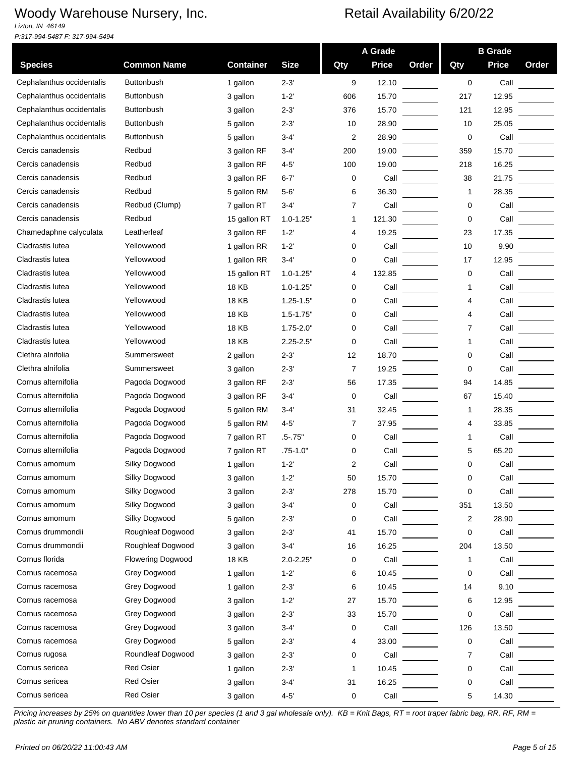*Lizton, IN 46149 P:317-994-5487 F: 317-994-5494*

|                           |                          |                  |               |     | A Grade      |       |     | <b>B</b> Grade |       |
|---------------------------|--------------------------|------------------|---------------|-----|--------------|-------|-----|----------------|-------|
| <b>Species</b>            | <b>Common Name</b>       | <b>Container</b> | <b>Size</b>   | Qty | <b>Price</b> | Order | Qty | <b>Price</b>   | Order |
| Cephalanthus occidentalis | <b>Buttonbush</b>        | 1 gallon         | $2 - 3'$      | 9   | 12.10        |       | 0   | Call           |       |
| Cephalanthus occidentalis | <b>Buttonbush</b>        | 3 gallon         | $1 - 2'$      | 606 | 15.70        |       | 217 | 12.95          |       |
| Cephalanthus occidentalis | <b>Buttonbush</b>        | 3 gallon         | $2 - 3'$      | 376 | 15.70        |       | 121 | 12.95          |       |
| Cephalanthus occidentalis | <b>Buttonbush</b>        | 5 gallon         | $2 - 3'$      | 10  | 28.90        |       | 10  | 25.05          |       |
| Cephalanthus occidentalis | <b>Buttonbush</b>        | 5 gallon         | $3 - 4'$      | 2   | 28.90        |       | 0   | Call           |       |
| Cercis canadensis         | Redbud                   | 3 gallon RF      | 3-4'          | 200 | 19.00        |       | 359 | 15.70          |       |
| Cercis canadensis         | Redbud                   | 3 gallon RF      | $4 - 5'$      | 100 | 19.00        |       | 218 | 16.25          |       |
| Cercis canadensis         | Redbud                   | 3 gallon RF      | $6 - 7'$      | 0   | Call         |       | 38  | 21.75          |       |
| Cercis canadensis         | Redbud                   | 5 gallon RM      | $5 - 6'$      | 6   | 36.30        |       | 1   | 28.35          |       |
| Cercis canadensis         | Redbud (Clump)           | 7 gallon RT      | $3 - 4'$      | 7   | Call         |       | 0   | Call           |       |
| Cercis canadensis         | Redbud                   | 15 gallon RT     | $1.0 - 1.25"$ | 1   | 121.30       |       | 0   | Call           |       |
| Chamedaphne calyculata    | Leatherleaf              | 3 gallon RF      | $1 - 2'$      | 4   | 19.25        |       | 23  | 17.35          |       |
| Cladrastis lutea          | Yellowwood               | 1 gallon RR      | $1 - 2'$      | 0   | Call         |       | 10  | 9.90           |       |
| Cladrastis lutea          | Yellowwood               | 1 gallon RR      | $3-4'$        | 0   | Call         |       | 17  | 12.95          |       |
| Cladrastis lutea          | Yellowwood               | 15 gallon RT     | $1.0 - 1.25"$ | 4   | 132.85       |       | 0   | Call           |       |
| Cladrastis lutea          | Yellowwood               | 18 KB            | $1.0 - 1.25"$ | 0   | Call         |       | 1   | Call           |       |
| Cladrastis lutea          | Yellowwood               | <b>18 KB</b>     | $1.25 - 1.5"$ | 0   | Call         |       | 4   | Call           |       |
| Cladrastis lutea          | Yellowwood               | 18 KB            | $1.5 - 1.75"$ | 0   | Call         |       | 4   | Call           |       |
| Cladrastis lutea          | Yellowwood               | 18 KB            | $1.75 - 2.0"$ | 0   | Call         |       | 7   | Call           |       |
| Cladrastis lutea          | Yellowwood               | 18 KB            | $2.25 - 2.5"$ | 0   | Call         |       | 1   | Call           |       |
| Clethra alnifolia         | Summersweet              | 2 gallon         | $2 - 3'$      | 12  | 18.70        |       | 0   | Call           |       |
| Clethra alnifolia         | Summersweet              | 3 gallon         | $2 - 3'$      | 7   | 19.25        |       | 0   | Call           |       |
| Cornus alternifolia       | Pagoda Dogwood           | 3 gallon RF      | $2 - 3'$      | 56  | 17.35        |       | 94  | 14.85          |       |
| Cornus alternifolia       | Pagoda Dogwood           | 3 gallon RF      | 3-4'          | 0   | Call         |       | 67  | 15.40          |       |
| Cornus alternifolia       | Pagoda Dogwood           | 5 gallon RM      | $3 - 4'$      | 31  | 32.45        |       | 1   | 28.35          |       |
| Cornus alternifolia       | Pagoda Dogwood           | 5 gallon RM      | $4 - 5'$      | 7   | 37.95        |       | 4   | 33.85          |       |
| Cornus alternifolia       | Pagoda Dogwood           | 7 gallon RT      | $.5 - .75"$   | 0   | Call         |       | 1   | Call           |       |
| Cornus alternifolia       | Pagoda Dogwood           | 7 gallon RT      | $.75 - 1.0"$  | 0   | Call         |       | 5   | 65.20          |       |
| Cornus amomum             | Silky Dogwood            | 1 gallon         | $1 - 2'$      | 2   | Call         |       | 0   | Call           |       |
| Cornus amomum             | Silky Dogwood            | 3 gallon         | $1 - 2$       | 50  | 15.70        |       | U   | Call           |       |
| Cornus amomum             | Silky Dogwood            | 3 gallon         | $2 - 3'$      | 278 | 15.70        |       | 0   | Call           |       |
| Cornus amomum             | Silky Dogwood            | 3 gallon         | $3 - 4'$      | 0   | Call         |       | 351 | 13.50          |       |
| Cornus amomum             | Silky Dogwood            | 5 gallon         | $2 - 3'$      | 0   | Call         |       | 2   | 28.90          |       |
| Cornus drummondii         | Roughleaf Dogwood        | 3 gallon         | $2 - 3'$      | 41  | 15.70        |       | 0   | Call           |       |
| Cornus drummondii         | Roughleaf Dogwood        | 3 gallon         | $3 - 4'$      | 16  | 16.25        |       | 204 | 13.50          |       |
| Cornus florida            | <b>Flowering Dogwood</b> | <b>18 KB</b>     | $2.0 - 2.25"$ | 0   | Call         |       | 1   | Call           |       |
| Cornus racemosa           | Grey Dogwood             | 1 gallon         | $1 - 2'$      | 6   | 10.45        |       | 0   | Call           |       |
| Cornus racemosa           | Grey Dogwood             | 1 gallon         | $2 - 3'$      | 6   | 10.45        |       | 14  | 9.10           |       |
| Cornus racemosa           | Grey Dogwood             | 3 gallon         | $1 - 2'$      | 27  | 15.70        |       | 6   | 12.95          |       |
| Cornus racemosa           | Grey Dogwood             | 3 gallon         | $2 - 3'$      | 33  | 15.70        |       | 0   | Call           |       |
| Cornus racemosa           | Grey Dogwood             | 3 gallon         | $3 - 4'$      | 0   | Call         |       | 126 | 13.50          |       |
| Cornus racemosa           | Grey Dogwood             | 5 gallon         | $2 - 3'$      | 4   | 33.00        |       | 0   | Call           |       |
| Cornus rugosa             | Roundleaf Dogwood        | 3 gallon         | $2 - 3'$      | 0   | Call         |       | 7   | Call           |       |
| Cornus sericea            | Red Osier                | 1 gallon         | $2 - 3'$      | 1   | 10.45        |       | 0   | Call           |       |
| Cornus sericea            | <b>Red Osier</b>         | 3 gallon         | $3 - 4'$      | 31  | 16.25        |       | 0   | Call           |       |
| Cornus sericea            | Red Osier                | 3 gallon         | $4 - 5'$      | 0   | Call         |       | 5   | 14.30          |       |
|                           |                          |                  |               |     |              |       |     |                |       |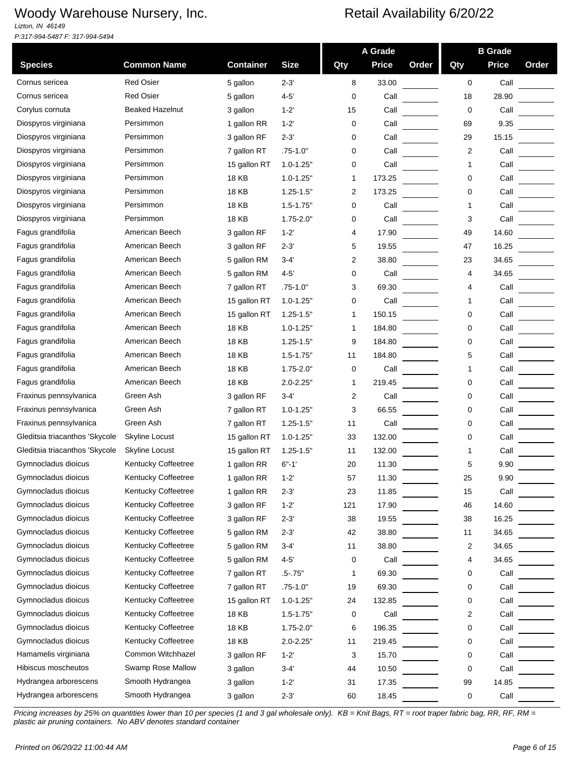*Lizton, IN 46149 P:317-994-5487 F: 317-994-5494*

|                                |                        |                            |               |     | A Grade      |       |     | <b>B</b> Grade |       |
|--------------------------------|------------------------|----------------------------|---------------|-----|--------------|-------|-----|----------------|-------|
| <b>Species</b>                 | <b>Common Name</b>     | <b>Container</b>           | <b>Size</b>   | Qty | <b>Price</b> | Order | Qty | <b>Price</b>   | Order |
| Cornus sericea                 | <b>Red Osier</b>       | 5 gallon                   | $2 - 3'$      | 8   | 33.00        |       | 0   | Call           |       |
| Cornus sericea                 | <b>Red Osier</b>       | 5 gallon                   | $4 - 5'$      | 0   | Call         |       | 18  | 28.90          |       |
| Corylus cornuta                | <b>Beaked Hazelnut</b> | 3 gallon                   | $1 - 2'$      | 15  | Call         |       | 0   | Call           |       |
| Diospyros virginiana           | Persimmon              | 1 gallon RR                | $1 - 2'$      | 0   | Call         |       | 69  | 9.35           |       |
| Diospyros virginiana           | Persimmon              | 3 gallon RF                | $2 - 3'$      | 0   | Call         |       | 29  | 15.15          |       |
| Diospyros virginiana           | Persimmon              | 7 gallon RT                | $.75 - 1.0"$  | 0   | Call         |       | 2   | Call           |       |
| Diospyros virginiana           | Persimmon              | 15 gallon RT               | $1.0 - 1.25"$ | 0   | Call         |       | 1   | Call           |       |
| Diospyros virginiana           | Persimmon              | <b>18 KB</b>               | $1.0 - 1.25"$ | 1   | 173.25       |       | 0   | Call           |       |
| Diospyros virginiana           | Persimmon              | 18 KB                      | $1.25 - 1.5"$ | 2   | 173.25       |       | 0   | Call           |       |
| Diospyros virginiana           | Persimmon              | 18 KB                      | $1.5 - 1.75"$ | 0   | Call         |       |     | Call           |       |
| Diospyros virginiana           | Persimmon              | 18 KB                      | $1.75 - 2.0"$ | 0   | Call         |       | 3   | Call           |       |
| Fagus grandifolia              | American Beech         | 3 gallon RF                | $1 - 2'$      | 4   | 17.90        |       | 49  | 14.60          |       |
| Fagus grandifolia              | American Beech         | 3 gallon RF                | $2 - 3'$      | 5   | 19.55        |       | 47  | 16.25          |       |
| Fagus grandifolia              | American Beech         | 5 gallon RM                | $3 - 4'$      | 2   | 38.80        |       | 23  | 34.65          |       |
| Fagus grandifolia              | American Beech         | 5 gallon RM                | $4 - 5'$      | 0   | Call         |       | 4   | 34.65          |       |
| Fagus grandifolia              | American Beech         | 7 gallon RT                | $.75 - 1.0"$  | 3   | 69.30        |       | 4   | Call           |       |
| Fagus grandifolia              | American Beech         | 15 gallon RT               | $1.0 - 1.25"$ | 0   | Call         |       | 1   | Call           |       |
| Fagus grandifolia              | American Beech         | 15 gallon RT               | $1.25 - 1.5"$ | 1   | 150.15       |       | 0   | Call           |       |
| Fagus grandifolia              | American Beech         | 18 KB                      | $1.0 - 1.25"$ | 1   | 184.80       |       | 0   | Call           |       |
| Fagus grandifolia              | American Beech         | 18 KB                      | $1.25 - 1.5"$ | 9   | 184.80       |       | 0   | Call           |       |
| Fagus grandifolia              | American Beech         | <b>18 KB</b>               | $1.5 - 1.75"$ | 11  | 184.80       |       | 5   | Call           |       |
| Fagus grandifolia              | American Beech         | <b>18 KB</b>               | $1.75 - 2.0"$ | 0   | Call         |       | 1   | Call           |       |
| Fagus grandifolia              | American Beech         | 18 KB                      | $2.0 - 2.25"$ | 1   | 219.45       |       | 0   | Call           |       |
| Fraxinus pennsylvanica         | Green Ash              | 3 gallon RF                | $3 - 4'$      | 2   | Call         |       | 0   | Call           |       |
| Fraxinus pennsylvanica         | Green Ash              | 7 gallon RT                | $1.0 - 1.25"$ | 3   | 66.55        |       | 0   | Call           |       |
| Fraxinus pennsylvanica         | Green Ash              | 7 gallon RT                | $1.25 - 1.5"$ | 11  | Call         |       | 0   | Call           |       |
| Gleditsia triacanthos 'Skycole | Skyline Locust         | 15 gallon RT               | $1.0 - 1.25"$ | 33  | 132.00       |       | 0   | Call           |       |
| Gleditsia triacanthos 'Skycole | Skyline Locust         | 15 gallon RT               | $1.25 - 1.5"$ | 11  | 132.00       |       |     | Call           |       |
| Gymnocladus dioicus            | Kentucky Coffeetree    | 1 gallon RR                | $6 - 1'$      | 20  | 11.30        |       | 5   | 9.90           |       |
| Gymnocladus dioicus            | Kentucky Coffeetree    | 1 gallon RR                | $1 - 2'$      | 57  | 11.30        |       | 25  | 9.90           |       |
| Gymnocladus dioicus            | Kentucky Coffeetree    | 1 gallon RR                | $2 - 3'$      | 23  | 11.85        |       | 15  | Call           |       |
| Gymnocladus dioicus            | Kentucky Coffeetree    | 3 gallon RF                | $1 - 2'$      | 121 | 17.90        |       | 46  | 14.60          |       |
| Gymnocladus dioicus            | Kentucky Coffeetree    | 3 gallon RF                | $2 - 3'$      | 38  | 19.55        |       | 38  | 16.25          |       |
| Gymnocladus dioicus            | Kentucky Coffeetree    | 5 gallon RM                | $2 - 3'$      | 42  | 38.80        |       | 11  | 34.65          |       |
| Gymnocladus dioicus            | Kentucky Coffeetree    | 5 gallon RM                | $3-4'$        | 11  | 38.80        |       | 2   | 34.65          |       |
| Gymnocladus dioicus            | Kentucky Coffeetree    |                            | $4 - 5'$      | 0   | Call         |       | 4   | 34.65          |       |
| Gymnocladus dioicus            | Kentucky Coffeetree    | 5 gallon RM<br>7 gallon RT |               |     | 69.30        |       | 0   | Call           |       |
| Gymnocladus dioicus            | Kentucky Coffeetree    |                            | $.5 - .75"$   | 1   |              |       |     |                |       |
| Gymnocladus dioicus            | Kentucky Coffeetree    | 7 gallon RT                | $.75 - 1.0"$  | 19  | 69.30        |       | 0   | Call           |       |
|                                |                        | 15 gallon RT               | $1.0 - 1.25"$ | 24  | 132.85       |       | 0   | Call           |       |
| Gymnocladus dioicus            | Kentucky Coffeetree    | 18 KB                      | $1.5 - 1.75"$ | 0   | Call         |       | 2   | Call           |       |
| Gymnocladus dioicus            | Kentucky Coffeetree    | <b>18 KB</b>               | $1.75 - 2.0"$ | 6   | 196.35       |       | 0   | Call           |       |
| Gymnocladus dioicus            | Kentucky Coffeetree    | <b>18 KB</b>               | $2.0 - 2.25"$ | 11  | 219.45       |       | 0   | Call           |       |
| Hamamelis virginiana           | Common Witchhazel      | 3 gallon RF                | $1 - 2'$      | 3   | 15.70        |       | 0   | Call           |       |
| Hibiscus moscheutos            | Swamp Rose Mallow      | 3 gallon                   | $3 - 4'$      | 44  | 10.50        |       | 0   | Call           |       |
| Hydrangea arborescens          | Smooth Hydrangea       | 3 gallon                   | $1 - 2'$      | 31  | 17.35        |       | 99  | 14.85          |       |
| Hydrangea arborescens          | Smooth Hydrangea       | 3 gallon                   | $2 - 3'$      | 60  | 18.45        |       | 0   | Call           |       |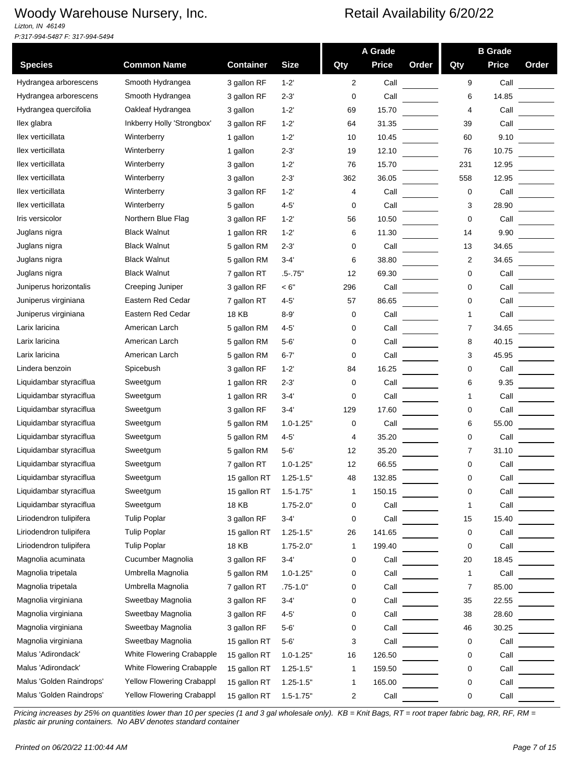*Lizton, IN 46149 P:317-994-5487 F: 317-994-5494*

|                          |                            |                  |               |              | A Grade      |       |     | <b>B</b> Grade |       |
|--------------------------|----------------------------|------------------|---------------|--------------|--------------|-------|-----|----------------|-------|
| <b>Species</b>           | <b>Common Name</b>         | <b>Container</b> | <b>Size</b>   | Qty          | <b>Price</b> | Order | Qty | <b>Price</b>   | Order |
| Hydrangea arborescens    | Smooth Hydrangea           | 3 gallon RF      | $1 - 2'$      | 2            | Call         |       | 9   | Call           |       |
| Hydrangea arborescens    | Smooth Hydrangea           | 3 gallon RF      | $2 - 3'$      | 0            | Call         |       | 6   | 14.85          |       |
| Hydrangea quercifolia    | Oakleaf Hydrangea          | 3 gallon         | $1 - 2'$      | 69           | 15.70        |       | 4   | Call           |       |
| llex glabra              | Inkberry Holly 'Strongbox' | 3 gallon RF      | $1 - 2'$      | 64           | 31.35        |       | 39  | Call           |       |
| llex verticillata        | Winterberry                | 1 gallon         | $1 - 2'$      | 10           | 10.45        |       | 60  | 9.10           |       |
| llex verticillata        | Winterberry                | 1 gallon         | $2 - 3'$      | 19           | 12.10        |       | 76  | 10.75          |       |
| llex verticillata        | Winterberry                | 3 gallon         | $1 - 2'$      | 76           | 15.70        |       | 231 | 12.95          |       |
| llex verticillata        | Winterberry                | 3 gallon         | $2 - 3'$      | 362          | 36.05        |       | 558 | 12.95          |       |
| llex verticillata        | Winterberry                | 3 gallon RF      | $1 - 2'$      | 4            | Call         |       | 0   | Call           |       |
| llex verticillata        | Winterberry                | 5 gallon         | $4 - 5'$      | 0            | Call         |       | 3   | 28.90          |       |
| Iris versicolor          | Northern Blue Flag         | 3 gallon RF      | $1 - 2'$      | 56           | 10.50        |       | 0   | Call           |       |
| Juglans nigra            | <b>Black Walnut</b>        | 1 gallon RR      | $1 - 2'$      | 6            | 11.30        |       | 14  | 9.90           |       |
| Juglans nigra            | <b>Black Walnut</b>        | 5 gallon RM      | $2 - 3'$      | 0            | Call         |       | 13  | 34.65          |       |
| Juglans nigra            | <b>Black Walnut</b>        | 5 gallon RM      | $3 - 4'$      | 6            | 38.80        |       | 2   | 34.65          |       |
| Juglans nigra            | <b>Black Walnut</b>        | 7 gallon RT      | .5-.75"       | 12           | 69.30        |       | 0   | Call           |       |
| Juniperus horizontalis   | Creeping Juniper           | 3 gallon RF      | < 6"          | 296          | Call         |       | 0   | Call           |       |
| Juniperus virginiana     | Eastern Red Cedar          | 7 gallon RT      | $4 - 5'$      | 57           | 86.65        |       | 0   | Call           |       |
| Juniperus virginiana     | Eastern Red Cedar          | <b>18 KB</b>     | $8 - 9'$      | 0            | Call         |       | 1   | Call           |       |
| Larix laricina           | American Larch             | 5 gallon RM      | $4 - 5'$      | 0            | Call         |       | 7   | 34.65          |       |
| Larix laricina           | American Larch             | 5 gallon RM      | $5 - 6'$      | 0            | Call         |       | 8   | 40.15          |       |
| Larix laricina           | American Larch             | 5 gallon RM      | $6 - 7'$      | 0            | Call         |       | 3   | 45.95          |       |
| Lindera benzoin          | Spicebush                  | 3 gallon RF      | $1 - 2'$      | 84           | 16.25        |       | 0   | Call           |       |
| Liquidambar styraciflua  | Sweetgum                   | 1 gallon RR      | $2 - 3'$      | 0            | Call         |       | 6   | 9.35           |       |
| Liquidambar styraciflua  | Sweetgum                   | 1 gallon RR      | $3 - 4'$      | 0            | Call         |       | 1   | Call           |       |
| Liquidambar styraciflua  | Sweetgum                   | 3 gallon RF      | $3 - 4'$      | 129          | 17.60        |       | 0   | Call           |       |
| Liquidambar styraciflua  | Sweetgum                   | 5 gallon RM      | $1.0 - 1.25"$ | 0            | Call         |       | 6   | 55.00          |       |
| Liquidambar styraciflua  | Sweetgum                   | 5 gallon RM      | $4 - 5'$      | 4            | 35.20        |       | 0   | Call           |       |
| Liquidambar styraciflua  | Sweetgum                   | 5 gallon RM      | $5-6'$        | 12           | 35.20        |       | 7   | 31.10          |       |
| Liquidambar styraciflua  | Sweetgum                   | 7 gallon RT      | $1.0 - 1.25$  | 12           | 66.55        |       | 0   | Call           |       |
| Liquidambar styraciflua  | Sweetgum                   | 15 gallon RT     | $1.25 - 1.5"$ | 48           | 132.85       |       | 0   | Call           |       |
| Liquidambar styraciflua  | Sweetgum                   | 15 gallon RT     | $1.5 - 1.75"$ | 1            | 150.15       |       | 0   | Call           |       |
| Liquidambar styraciflua  | Sweetgum                   | <b>18 KB</b>     | $1.75 - 2.0"$ | 0            | Call         |       | 1   | Call           |       |
| Liriodendron tulipifera  | <b>Tulip Poplar</b>        | 3 gallon RF      | $3 - 4'$      | 0            | Call         |       | 15  | 15.40          |       |
| Liriodendron tulipifera  | <b>Tulip Poplar</b>        | 15 gallon RT     | $1.25 - 1.5"$ | 26           | 141.65       |       | 0   | Call           |       |
| Liriodendron tulipifera  | <b>Tulip Poplar</b>        | 18 KB            | $1.75 - 2.0"$ | 1            | 199.40       |       | 0   | Call           |       |
| Magnolia acuminata       | Cucumber Magnolia          | 3 gallon RF      | $3 - 4'$      | 0            | Call         |       | 20  | 18.45          |       |
| Magnolia tripetala       | Umbrella Magnolia          | 5 gallon RM      | $1.0 - 1.25"$ | 0            | Call         |       | 1   | Call           |       |
| Magnolia tripetala       | Umbrella Magnolia          | 7 gallon RT      | $.75 - 1.0"$  | 0            | Call         |       | 7   | 85.00          |       |
| Magnolia virginiana      | Sweetbay Magnolia          | 3 gallon RF      | $3 - 4'$      | 0            | Call         |       | 35  | 22.55          |       |
| Magnolia virginiana      | Sweetbay Magnolia          | 3 gallon RF      | $4 - 5'$      | 0            | Call         |       | 38  | 28.60          |       |
| Magnolia virginiana      | Sweetbay Magnolia          | 3 gallon RF      | $5 - 6'$      | 0            | Call         |       | 46  | 30.25          |       |
| Magnolia virginiana      | Sweetbay Magnolia          | 15 gallon RT     | $5 - 6'$      | 3            | Call         |       | 0   | Call           |       |
| Malus 'Adirondack'       | White Flowering Crabapple  | 15 gallon RT     | $1.0 - 1.25"$ | 16           | 126.50       |       | 0   | Call           |       |
| Malus 'Adirondack'       | White Flowering Crabapple  | 15 gallon RT     | $1.25 - 1.5"$ | $\mathbf{1}$ | 159.50       |       | 0   | Call           |       |
| Malus 'Golden Raindrops' | Yellow Flowering Crabappl  | 15 gallon RT     | $1.25 - 1.5"$ | $\mathbf 1$  | 165.00       |       | 0   | Call           |       |
| Malus 'Golden Raindrops' | Yellow Flowering Crabappl  | 15 gallon RT     | $1.5 - 1.75"$ | 2            | Call         |       | 0   | Call           |       |
|                          |                            |                  |               |              |              |       |     |                |       |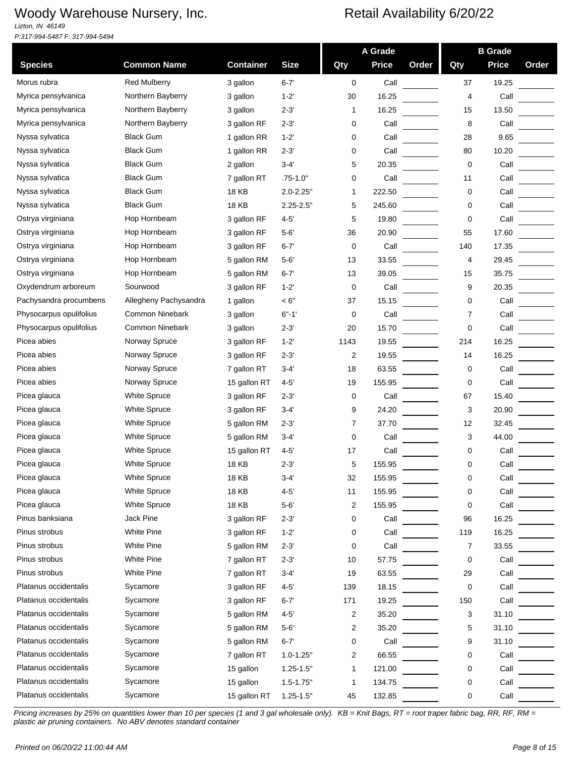*Lizton, IN 46149 P:317-994-5487 F: 317-994-5494*

|                         |                       |                  |               |      | A Grade      |       |     | <b>B</b> Grade |       |
|-------------------------|-----------------------|------------------|---------------|------|--------------|-------|-----|----------------|-------|
| <b>Species</b>          | <b>Common Name</b>    | <b>Container</b> | <b>Size</b>   | Qty  | <b>Price</b> | Order | Qty | <b>Price</b>   | Order |
| Morus rubra             | <b>Red Mulberry</b>   | 3 gallon         | $6 - 7'$      | 0    | Call         |       | 37  | 19.25          |       |
| Myrica pensylvanica     | Northern Bayberry     | 3 gallon         | $1 - 2'$      | 30   | 16.25        |       | 4   | Call           |       |
| Myrica pensylvanica     | Northern Bayberry     | 3 gallon         | $2 - 3'$      | 1    | 16.25        |       | 15  | 13.50          |       |
| Myrica pensylvanica     | Northern Bayberry     | 3 gallon RF      | $2 - 3'$      | 0    | Call         |       | 8   | Call           |       |
| Nyssa sylvatica         | <b>Black Gum</b>      | 1 gallon RR      | $1 - 2'$      | 0    | Call         |       | 28  | 9.65           |       |
| Nyssa sylvatica         | <b>Black Gum</b>      | 1 gallon RR      | $2 - 3'$      | 0    | Call         |       | 80  | 10.20          |       |
| Nyssa sylvatica         | <b>Black Gum</b>      | 2 gallon         | $3 - 4'$      | 5    | 20.35        |       | 0   | Call           |       |
| Nyssa sylvatica         | <b>Black Gum</b>      | 7 gallon RT      | $.75 - 1.0"$  | 0    | Call         |       | 11  | Call           |       |
| Nyssa sylvatica         | <b>Black Gum</b>      | <b>18 KB</b>     | $2.0 - 2.25"$ | 1    | 222.50       |       | 0   | Call           |       |
| Nyssa sylvatica         | <b>Black Gum</b>      | 18 KB            | $2.25 - 2.5"$ | 5    | 245.60       |       | 0   | Call           |       |
| Ostrya virginiana       | Hop Hornbeam          | 3 gallon RF      | $4 - 5'$      | 5    | 19.80        |       | 0   | Call           |       |
| Ostrya virginiana       | Hop Hornbeam          | 3 gallon RF      | $5 - 6'$      | 36   | 20.90        |       | 55  | 17.60          |       |
| Ostrya virginiana       | Hop Hornbeam          | 3 gallon RF      | $6 - 7'$      | 0    | Call         |       | 140 | 17.35          |       |
| Ostrya virginiana       | Hop Hornbeam          | 5 gallon RM      | $5 - 6'$      | 13   | 33.55        |       | 4   | 29.45          |       |
| Ostrya virginiana       | Hop Hornbeam          | 5 gallon RM      | $6 - 7'$      | 13   | 39.05        |       | 15  | 35.75          |       |
| Oxydendrum arboreum     | Sourwood              | 3 gallon RF      | $1 - 2'$      | 0    | Call         |       | 9   | 20.35          |       |
| Pachysandra procumbens  | Allegheny Pachysandra | 1 gallon         | < 6"          | 37   | 15.15        |       | 0   | Call           |       |
| Physocarpus opulifolius | Common Ninebark       | 3 gallon         | $6" - 1'$     | 0    | Call         |       | 7   | Call           |       |
| Physocarpus opulifolius | Common Ninebark       | 3 gallon         | $2 - 3'$      | 20   | 15.70        |       | 0   | Call           |       |
| Picea abies             | Norway Spruce         | 3 gallon RF      | $1 - 2$       | 1143 | 19.55        |       | 214 | 16.25          |       |
| Picea abies             | Norway Spruce         | 3 gallon RF      | $2 - 3'$      | 2    | 19.55        |       | 14  | 16.25          |       |
| Picea abies             | Norway Spruce         | 7 gallon RT      | $3-4'$        | 18   | 63.55        |       | 0   | Call           |       |
| Picea abies             | Norway Spruce         | 15 gallon RT     | $4 - 5'$      | 19   | 155.95       |       | 0   | Call           |       |
| Picea glauca            | White Spruce          | 3 gallon RF      | $2 - 3'$      | 0    | Call         |       | 67  | 15.40          |       |
| Picea glauca            | White Spruce          | 3 gallon RF      | $3 - 4'$      | 9    | 24.20        |       | 3   | 20.90          |       |
| Picea glauca            | <b>White Spruce</b>   | 5 gallon RM      | $2 - 3'$      | 7    | 37.70        |       | 12  | 32.45          |       |
| Picea glauca            | White Spruce          | 5 gallon RM      | $3 - 4'$      | 0    | Call         |       | 3   | 44.00          |       |
| Picea glauca            | White Spruce          | 15 gallon RT     | $4 - 5'$      | 17   | Call         |       | 0   | Call           |       |
| Picea glauca            | White Spruce          | 18 KB            | $2 - 3'$      | 5    | 155.95       |       | 0   | Call           |       |
| Picea glauca            | White Spruce          | 18 KB            | 3-4'          | 32   | 155.95       |       | 0   | Call           |       |
| Picea glauca            | White Spruce          | 18 KB            | $4 - 5'$      | 11   | 155.95       |       | 0   | Call           |       |
| Picea glauca            | White Spruce          | 18 KB            | $5-6'$        | 2    | 155.95       |       | 0   | Call           |       |
| Pinus banksiana         | Jack Pine             | 3 gallon RF      | $2 - 3'$      | 0    | Call         |       | 96  | 16.25          |       |
| Pinus strobus           | <b>White Pine</b>     | 3 gallon RF      | $1 - 2'$      | 0    | Call         |       | 119 | 16.25          |       |
| Pinus strobus           | White Pine            | 5 gallon RM      | $2 - 3'$      | 0    | Call         |       | 7   | 33.55          |       |
| Pinus strobus           | White Pine            | 7 gallon RT      | $2 - 3'$      | 10   | 57.75        |       | 0   | Call           |       |
| Pinus strobus           | White Pine            | 7 gallon RT      | $3-4'$        | 19   | 63.55        |       | 29  | Call           |       |
| Platanus occidentalis   | Sycamore              | 3 gallon RF      | $4 - 5'$      | 139  | 18.15        |       | 0   | Call           |       |
| Platanus occidentalis   | Sycamore              | 3 gallon RF      | $6 - 7'$      | 171  | 19.25        |       | 150 | Call           |       |
| Platanus occidentalis   | Sycamore              | 5 gallon RM      | $4 - 5'$      | 2    | 35.20        |       | 3   | 31.10          |       |
| Platanus occidentalis   | Sycamore              | 5 gallon RM      | $5 - 6'$      | 2    | 35.20        |       | 5   | 31.10          |       |
| Platanus occidentalis   | Sycamore              | 5 gallon RM      | $6 - 7'$      | 0    | Call         |       | 9   | 31.10          |       |
| Platanus occidentalis   | Sycamore              | 7 gallon RT      | $1.0 - 1.25"$ | 2    | 66.55        |       | 0   | Call           |       |
| Platanus occidentalis   | Sycamore              | 15 gallon        | $1.25 - 1.5"$ | 1    | 121.00       |       | 0   | Call           |       |
| Platanus occidentalis   | Sycamore              | 15 gallon        | $1.5 - 1.75"$ | 1    | 134.75       |       | 0   | Call           |       |
| Platanus occidentalis   | Sycamore              | 15 gallon RT     | $1.25 - 1.5"$ | 45   | 132.85       |       | 0   | Call           |       |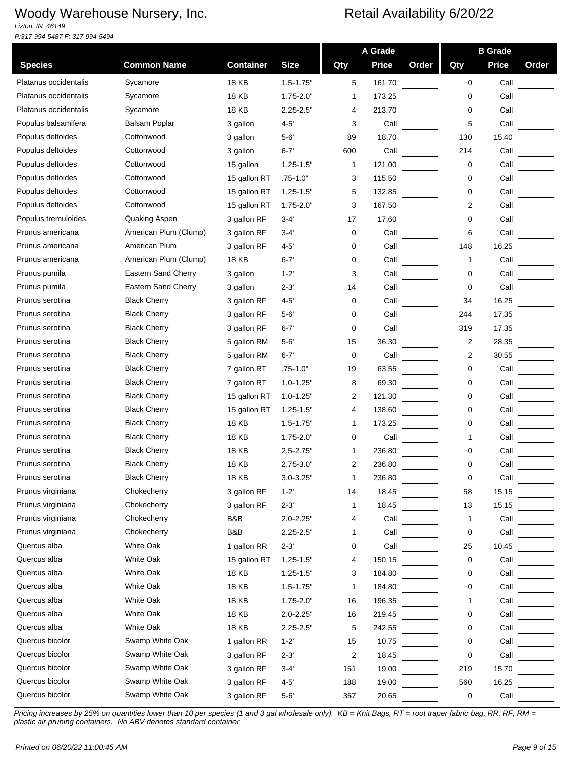*Lizton, IN 46149 P:317-994-5487 F: 317-994-5494*

|                       |                            |                  |               |              | A Grade      |       |             | <b>B</b> Grade |       |
|-----------------------|----------------------------|------------------|---------------|--------------|--------------|-------|-------------|----------------|-------|
| <b>Species</b>        | <b>Common Name</b>         | <b>Container</b> | <b>Size</b>   | Qty          | <b>Price</b> | Order | Qty         | <b>Price</b>   | Order |
| Platanus occidentalis | Sycamore                   | 18 KB            | $1.5 - 1.75"$ | 5            | 161.70       |       | $\mathbf 0$ | Call           |       |
| Platanus occidentalis | Sycamore                   | 18 KB            | $1.75 - 2.0"$ | 1            | 173.25       |       | 0           | Call           |       |
| Platanus occidentalis | Sycamore                   | 18 KB            | $2.25 - 2.5"$ | 4            | 213.70       |       | 0           | Call           |       |
| Populus balsamifera   | Balsam Poplar              | 3 gallon         | $4 - 5'$      | 3            | Call         |       | 5           | Call           |       |
| Populus deltoides     | Cottonwood                 | 3 gallon         | $5 - 6'$      | 89           | 18.70        |       | 130         | 15.40          |       |
| Populus deltoides     | Cottonwood                 | 3 gallon         | $6 - 7'$      | 600          | Call         |       | 214         | Call           |       |
| Populus deltoides     | Cottonwood                 | 15 gallon        | $1.25 - 1.5"$ | $\mathbf{1}$ | 121.00       |       | 0           | Call           |       |
| Populus deltoides     | Cottonwood                 | 15 gallon RT     | $.75 - 1.0"$  | 3            | 115.50       |       | 0           | Call           |       |
| Populus deltoides     | Cottonwood                 | 15 gallon RT     | $1.25 - 1.5"$ | 5            | 132.85       |       | 0           | Call           |       |
| Populus deltoides     | Cottonwood                 | 15 gallon RT     | $1.75 - 2.0"$ | 3            | 167.50       |       | 2           | Call           |       |
| Populus tremuloides   | Quaking Aspen              | 3 gallon RF      | $3-4'$        | 17           | 17.60        |       | 0           | Call           |       |
| Prunus americana      | American Plum (Clump)      | 3 gallon RF      | $3 - 4'$      | 0            | Call         |       | 6           | Call           |       |
| Prunus americana      | American Plum              | 3 gallon RF      | 4-5'          | 0            | Call         |       | 148         | 16.25          |       |
| Prunus americana      | American Plum (Clump)      | 18 KB            | $6 - 7'$      | 0            | Call         |       | 1           | Call           |       |
| Prunus pumila         | <b>Eastern Sand Cherry</b> | 3 gallon         | $1 - 2'$      | 3            | Call         |       | 0           | Call           |       |
| Prunus pumila         | Eastern Sand Cherry        | 3 gallon         | 2-3'          | 14           | Call         |       | 0           | Call           |       |
| Prunus serotina       | <b>Black Cherry</b>        | 3 gallon RF      | $4 - 5'$      | 0            | Call         |       | 34          | 16.25          |       |
| Prunus serotina       | <b>Black Cherry</b>        | 3 gallon RF      | $5 - 6'$      | 0            | Call         |       | 244         | 17.35          |       |
| Prunus serotina       | <b>Black Cherry</b>        | 3 gallon RF      | $6 - 7'$      | 0            | Call         |       | 319         | 17.35          |       |
| Prunus serotina       | <b>Black Cherry</b>        | 5 gallon RM      | $5 - 6'$      | 15           | 36.30        |       | 2           | 28.35          |       |
| Prunus serotina       | <b>Black Cherry</b>        | 5 gallon RM      | $6 - 7'$      | 0            | Call         |       | 2           | 30.55          |       |
| Prunus serotina       | <b>Black Cherry</b>        | 7 gallon RT      | $.75 - 1.0"$  | 19           | 63.55        |       | 0           | Call           |       |
| Prunus serotina       | <b>Black Cherry</b>        | 7 gallon RT      | $1.0 - 1.25"$ | 8            | 69.30        |       | 0           | Call           |       |
| Prunus serotina       | <b>Black Cherry</b>        | 15 gallon RT     | $1.0 - 1.25"$ | 2            | 121.30       |       | 0           | Call           |       |
| Prunus serotina       | <b>Black Cherry</b>        | 15 gallon RT     | $1.25 - 1.5"$ | 4            | 138.60       |       | 0           | Call           |       |
| Prunus serotina       | <b>Black Cherry</b>        | 18 KB            | $1.5 - 1.75"$ | 1            | 173.25       |       | 0           | Call           |       |
| Prunus serotina       | <b>Black Cherry</b>        | <b>18 KB</b>     | $1.75 - 2.0"$ | 0            | Call         |       | 1           | Call           |       |
| Prunus serotina       | <b>Black Cherry</b>        | 18 KB            | $2.5 - 2.75"$ | 1            | 236.80       |       | 0           | Call           |       |
| Prunus serotina       | <b>Black Cherry</b>        | <b>18 KB</b>     | $2.75 - 3.0"$ | 2            | 236.80       |       | 0           | Call           |       |
| Prunus serotina       | <b>Black Cherry</b>        | 18 KB            | 3.0-3.25"     | 1            | 236.80       |       | 0           | Call           |       |
| Prunus virginiana     | Chokecherry                | 3 gallon RF      | $1 - 2'$      | 14           | 18.45        |       | 58          | 15.15          |       |
| Prunus virginiana     | Chokecherry                | 3 gallon RF      | $2 - 3'$      | 1            | 18.45        |       | 13          | 15.15          |       |
| Prunus virginiana     | Chokecherry                | B&B              | $2.0 - 2.25"$ | 4            | Call         |       | 1           | Call           |       |
| Prunus virginiana     | Chokecherry                | B&B              | $2.25 - 2.5"$ | 1            | Call         |       | 0           | Call           |       |
| Quercus alba          | White Oak                  | 1 gallon RR      | $2 - 3'$      | 0            | Call         |       | 25          | 10.45          |       |
| Quercus alba          | White Oak                  | 15 gallon RT     | $1.25 - 1.5"$ | 4            | 150.15       |       | 0           | Call           |       |
| Quercus alba          | White Oak                  | <b>18 KB</b>     | $1.25 - 1.5"$ | 3            | 184.80       |       | 0           | Call           |       |
| Quercus alba          | White Oak                  | <b>18 KB</b>     | $1.5 - 1.75"$ | 1            | 184.80       |       | 0           | Call           |       |
| Quercus alba          | White Oak                  | <b>18 KB</b>     | $1.75 - 2.0"$ | 16           | 196.35       |       | 1           | Call           |       |
| Quercus alba          | White Oak                  | <b>18 KB</b>     | $2.0 - 2.25"$ | 16           | 219.45       |       | 0           | Call           |       |
| Quercus alba          | White Oak                  | <b>18 KB</b>     | $2.25 - 2.5"$ | 5            | 242.55       |       | 0           | Call           |       |
| Quercus bicolor       | Swamp White Oak            | 1 gallon RR      | $1 - 2'$      | 15           | 10.75        |       | 0           | Call           |       |
| Quercus bicolor       | Swamp White Oak            | 3 gallon RF      | $2 - 3'$      | 2            | 18.45        |       | 0           | Call           |       |
| Quercus bicolor       | Swamp White Oak            | 3 gallon RF      | $3 - 4'$      | 151          | 19.00        |       | 219         | 15.70          |       |
| Quercus bicolor       | Swamp White Oak            | 3 gallon RF      | $4 - 5'$      | 188          | 19.00        |       | 560         | 16.25          |       |
| Quercus bicolor       | Swamp White Oak            | 3 gallon RF      | $5 - 6'$      | 357          | 20.65        |       | 0           | Call           |       |
|                       |                            |                  |               |              |              |       |             |                |       |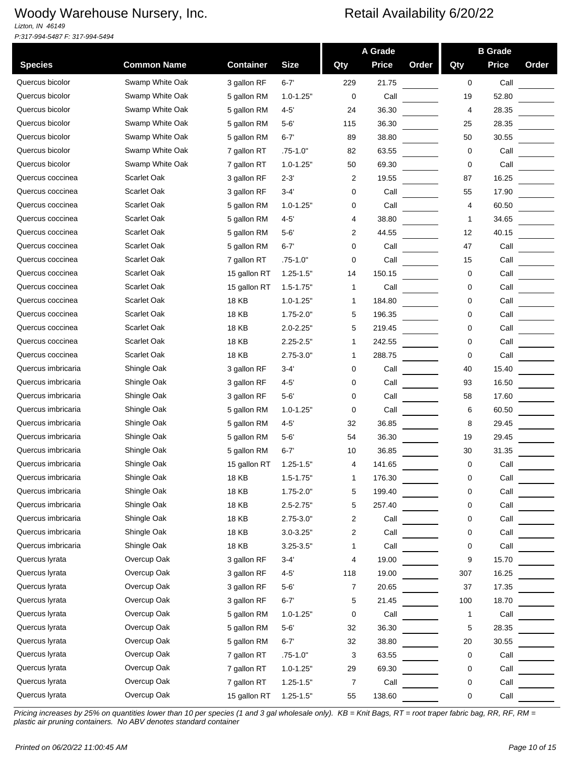*Lizton, IN 46149 P:317-994-5487 F: 317-994-5494*

|                    |                    |                  |                |             | A Grade      |       |              | <b>B</b> Grade |       |
|--------------------|--------------------|------------------|----------------|-------------|--------------|-------|--------------|----------------|-------|
| <b>Species</b>     | <b>Common Name</b> | <b>Container</b> | <b>Size</b>    | Qty         | <b>Price</b> | Order | Qty          | <b>Price</b>   | Order |
| Quercus bicolor    | Swamp White Oak    | 3 gallon RF      | $6 - 7'$       | 229         | 21.75        |       | 0            | Call           |       |
| Quercus bicolor    | Swamp White Oak    | 5 gallon RM      | $1.0 - 1.25$ " | 0           | Call         |       | 19           | 52.80          |       |
| Quercus bicolor    | Swamp White Oak    | 5 gallon RM      | $4 - 5$        | 24          | 36.30        |       | 4            | 28.35          |       |
| Quercus bicolor    | Swamp White Oak    | 5 gallon RM      | $5 - 6'$       | 115         | 36.30        |       | 25           | 28.35          |       |
| Quercus bicolor    | Swamp White Oak    | 5 gallon RM      | $6 - 7'$       | 89          | 38.80        |       | 50           | 30.55          |       |
| Quercus bicolor    | Swamp White Oak    | 7 gallon RT      | .75-1.0"       | 82          | 63.55        |       | 0            | Call           |       |
| Quercus bicolor    | Swamp White Oak    | 7 gallon RT      | $1.0 - 1.25"$  | 50          | 69.30        |       | 0            | Call           |       |
| Quercus coccinea   | Scarlet Oak        | 3 gallon RF      | $2 - 3'$       | 2           | 19.55        |       | 87           | 16.25          |       |
| Quercus coccinea   | <b>Scarlet Oak</b> | 3 gallon RF      | $3 - 4'$       | 0           | Call         |       | 55           | 17.90          |       |
| Quercus coccinea   | <b>Scarlet Oak</b> | 5 gallon RM      | $1.0 - 1.25$ " | 0           | Call         |       | 4            | 60.50          |       |
| Quercus coccinea   | Scarlet Oak        | 5 gallon RM      | $4 - 5$        | 4           | 38.80        |       | $\mathbf 1$  | 34.65          |       |
| Quercus coccinea   | Scarlet Oak        | 5 gallon RM      | 5-6'           | 2           | 44.55        |       | 12           | 40.15          |       |
| Quercus coccinea   | <b>Scarlet Oak</b> | 5 gallon RM      | $6 - 7'$       | $\mathbf 0$ | Call         |       | 47           | Call           |       |
| Quercus coccinea   | Scarlet Oak        | 7 gallon RT      | $.75 - 1.0"$   | 0           | Call         |       | 15           | Call           |       |
| Quercus coccinea   | <b>Scarlet Oak</b> | 15 gallon RT     | $1.25 - 1.5"$  | 14          | 150.15       |       | 0            | Call           |       |
| Quercus coccinea   | <b>Scarlet Oak</b> | 15 gallon RT     | $1.5 - 1.75"$  | 1           | Call         |       | 0            | Call           |       |
| Quercus coccinea   | Scarlet Oak        | 18 KB            | $1.0 - 1.25"$  | 1           | 184.80       |       | 0            | Call           |       |
| Quercus coccinea   | Scarlet Oak        | 18 KB            | $1.75 - 2.0"$  | 5           | 196.35       |       | 0            | Call           |       |
| Quercus coccinea   | Scarlet Oak        | <b>18 KB</b>     | $2.0 - 2.25"$  | 5           | 219.45       |       | 0            | Call           |       |
| Quercus coccinea   | Scarlet Oak        | 18 KB            | $2.25 - 2.5"$  | 1           | 242.55       |       | 0            | Call           |       |
| Quercus coccinea   | <b>Scarlet Oak</b> | <b>18 KB</b>     | $2.75 - 3.0"$  | 1           | 288.75       |       | 0            | Call           |       |
| Quercus imbricaria | Shingle Oak        | 3 gallon RF      | $3 - 4'$       | 0           | Call         |       | 40           | 15.40          |       |
| Quercus imbricaria | Shingle Oak        | 3 gallon RF      | $4 - 5$        | 0           | Call         |       | 93           | 16.50          |       |
| Quercus imbricaria | Shingle Oak        | 3 gallon RF      | $5 - 6'$       | 0           | Call         |       | 58           | 17.60          |       |
| Quercus imbricaria | Shingle Oak        | 5 gallon RM      | $1.0 - 1.25"$  | 0           | Call         |       | 6            | 60.50          |       |
| Quercus imbricaria | Shingle Oak        | 5 gallon RM      | 4-5'           | 32          | 36.85        |       | 8            | 29.45          |       |
| Quercus imbricaria | Shingle Oak        | 5 gallon RM      | $5 - 6'$       | 54          | 36.30        |       | 19           | 29.45          |       |
| Quercus imbricaria | Shingle Oak        | 5 gallon RM      | $6 - 7'$       | 10          | 36.85        |       | 30           | 31.35          |       |
| Quercus imbricaria | Shingle Oak        | 15 gallon RT     | $1.25 - 1.5"$  | 4           | 141.65       |       | 0            | Call           |       |
| Quercus imbricaria | Shingle Oak        | <b>18 KB</b>     | $1.5 - 1.75$   | 1           | 176.30       |       | U            | Call           |       |
| Quercus imbricaria | Shingle Oak        | 18 KB            | $1.75 - 2.0"$  | 5           | 199.40       |       | 0            | Call           |       |
| Quercus imbricaria | Shingle Oak        | <b>18 KB</b>     | $2.5 - 2.75"$  | 5           | 257.40       |       | 0            | Call           |       |
| Quercus imbricaria | Shingle Oak        | 18 KB            | $2.75 - 3.0"$  | 2           | Call         |       | 0            | Call           |       |
| Quercus imbricaria | Shingle Oak        | 18 KB            | $3.0 - 3.25"$  | 2           | Call         |       | 0            | Call           |       |
| Quercus imbricaria | Shingle Oak        | 18 KB            | $3.25 - 3.5"$  | 1           | Call         |       | 0            | Call           |       |
| Quercus lyrata     | Overcup Oak        | 3 gallon RF      | 3-4'           | 4           | 19.00        |       | 9            | 15.70          |       |
| Quercus lyrata     | Overcup Oak        | 3 gallon RF      | $4 - 5'$       | 118         | 19.00        |       | 307          | 16.25          |       |
| Quercus lyrata     | Overcup Oak        | 3 gallon RF      | $5 - 6'$       | 7           | 20.65        |       | 37           | 17.35          |       |
| Quercus lyrata     | Overcup Oak        | 3 gallon RF      | $6 - 7'$       | 5           | 21.45        |       | 100          | 18.70          |       |
| Quercus lyrata     | Overcup Oak        | 5 gallon RM      | $1.0 - 1.25"$  | 0           | Call         |       | $\mathbf{1}$ | Call           |       |
| Quercus lyrata     | Overcup Oak        | 5 gallon RM      | $5 - 6'$       | 32          | 36.30        |       | 5            | 28.35          |       |
| Quercus lyrata     | Overcup Oak        | 5 gallon RM      | $6 - 7'$       | 32          | 38.80        |       | 20           | 30.55          |       |
| Quercus lyrata     | Overcup Oak        | 7 gallon RT      | $.75 - 1.0"$   | 3           | 63.55        |       | 0            | Call           |       |
| Quercus lyrata     | Overcup Oak        | 7 gallon RT      | $1.0 - 1.25"$  | 29          | 69.30        |       | 0            | Call           |       |
| Quercus lyrata     | Overcup Oak        | 7 gallon RT      | $1.25 - 1.5"$  | 7           | Call         |       | 0            | Call           |       |
| Quercus lyrata     | Overcup Oak        | 15 gallon RT     | $1.25 - 1.5"$  | 55          | 138.60       |       | 0            | Call           |       |
|                    |                    |                  |                |             |              |       |              |                |       |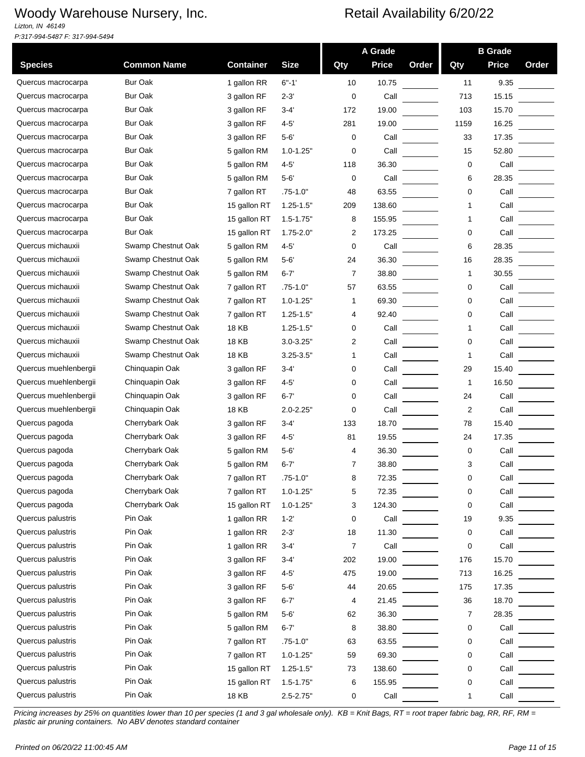*Lizton, IN 46149 P:317-994-5487 F: 317-994-5494*

|                       |                    |                  |               |                | A Grade      |       |      | <b>B</b> Grade |       |
|-----------------------|--------------------|------------------|---------------|----------------|--------------|-------|------|----------------|-------|
| <b>Species</b>        | <b>Common Name</b> | <b>Container</b> | <b>Size</b>   | Qty            | <b>Price</b> | Order | Qty  | <b>Price</b>   | Order |
| Quercus macrocarpa    | <b>Bur Oak</b>     | 1 gallon RR      | $6 - 1'$      | 10             | 10.75        |       | 11   | 9.35           |       |
| Quercus macrocarpa    | <b>Bur Oak</b>     | 3 gallon RF      | 2-3'          | 0              | Call         |       | 713  | 15.15          |       |
| Quercus macrocarpa    | <b>Bur Oak</b>     | 3 gallon RF      | 3-4'          | 172            | 19.00        |       | 103  | 15.70          |       |
| Quercus macrocarpa    | <b>Bur Oak</b>     | 3 gallon RF      | $4 - 5'$      | 281            | 19.00        |       | 1159 | 16.25          |       |
| Quercus macrocarpa    | <b>Bur Oak</b>     | 3 gallon RF      | $5 - 6'$      | 0              | Call         |       | 33   | 17.35          |       |
| Quercus macrocarpa    | <b>Bur Oak</b>     | 5 gallon RM      | $1.0 - 1.25"$ | 0              | Call         |       | 15   | 52.80          |       |
| Quercus macrocarpa    | <b>Bur Oak</b>     | 5 gallon RM      | $4 - 5'$      | 118            | 36.30        |       | 0    | Call           |       |
| Quercus macrocarpa    | <b>Bur Oak</b>     | 5 gallon RM      | $5 - 6'$      | 0              | Call         |       | 6    | 28.35          |       |
| Quercus macrocarpa    | <b>Bur Oak</b>     | 7 gallon RT      | $.75 - 1.0"$  | 48             | 63.55        |       | 0    | Call           |       |
| Quercus macrocarpa    | <b>Bur Oak</b>     | 15 gallon RT     | $1.25 - 1.5"$ | 209            | 138.60       |       | 1    | Call           |       |
| Quercus macrocarpa    | <b>Bur Oak</b>     | 15 gallon RT     | $1.5 - 1.75"$ | 8              | 155.95       |       | 1    | Call           |       |
| Quercus macrocarpa    | <b>Bur Oak</b>     | 15 gallon RT     | $1.75 - 2.0"$ | 2              | 173.25       |       | 0    | Call           |       |
| Quercus michauxii     | Swamp Chestnut Oak | 5 gallon RM      | $4 - 5'$      | 0              | Call         |       | 6    | 28.35          |       |
| Quercus michauxii     | Swamp Chestnut Oak | 5 gallon RM      | $5 - 6'$      | 24             | 36.30        |       | 16   | 28.35          |       |
| Quercus michauxii     | Swamp Chestnut Oak | 5 gallon RM      | $6 - 7'$      | 7              | 38.80        |       | 1    | 30.55          |       |
| Quercus michauxii     | Swamp Chestnut Oak | 7 gallon RT      | $.75 - 1.0"$  | 57             | 63.55        |       | 0    | Call           |       |
| Quercus michauxii     | Swamp Chestnut Oak | 7 gallon RT      | $1.0 - 1.25"$ | -1             | 69.30        |       | 0    | Call           |       |
| Quercus michauxii     | Swamp Chestnut Oak | 7 gallon RT      | $1.25 - 1.5"$ | 4              | 92.40        |       | 0    | Call           |       |
| Quercus michauxii     | Swamp Chestnut Oak | 18 KB            | $1.25 - 1.5"$ | 0              | Call         |       | 1    | Call           |       |
| Quercus michauxii     | Swamp Chestnut Oak | 18 KB            | $3.0 - 3.25"$ | 2              | Call         |       | 0    | Call           |       |
| Quercus michauxii     | Swamp Chestnut Oak | <b>18 KB</b>     | $3.25 - 3.5"$ | 1              | Call         |       | 1    | Call           |       |
| Quercus muehlenbergii | Chinquapin Oak     | 3 gallon RF      | 3-4'          | 0              | Call         |       | 29   | 15.40          |       |
| Quercus muehlenbergii | Chinquapin Oak     | 3 gallon RF      | $4 - 5'$      | 0              | Call         |       | 1    | 16.50          |       |
| Quercus muehlenbergii | Chinquapin Oak     | 3 gallon RF      | $6 - 7'$      | 0              | Call         |       | 24   | Call           |       |
| Quercus muehlenbergii | Chinquapin Oak     | <b>18 KB</b>     | $2.0 - 2.25"$ | 0              | Call         |       | 2    | Call           |       |
| Quercus pagoda        | Cherrybark Oak     | 3 gallon RF      | 3-4'          | 133            | 18.70        |       | 78   | 15.40          |       |
| Quercus pagoda        | Cherrybark Oak     | 3 gallon RF      | 4-5'          | 81             | 19.55        |       | 24   | 17.35          |       |
| Quercus pagoda        | Cherrybark Oak     | 5 gallon RM      | $5 - 6'$      | 4              | 36.30        |       | 0    | Call           |       |
| Quercus pagoda        | Cherrybark Oak     | 5 gallon RM      | $6 - 7'$      |                | 38.80        |       | 3    | Call           |       |
| Quercus pagoda        | Cherrybark Oak     | 7 gallon RT      | $.75 - 1.0$   | ŏ              | 72.35        |       | U    | Call           |       |
| Quercus pagoda        | Cherrybark Oak     | 7 gallon RT      | $1.0 - 1.25"$ | 5              | 72.35        |       | 0    | Call           |       |
| Quercus pagoda        | Cherrybark Oak     | 15 gallon RT     | $1.0 - 1.25"$ | 3              | 124.30       |       | 0    | Call           |       |
| Quercus palustris     | Pin Oak            | 1 gallon RR      | $1 - 2'$      | 0              | Call         |       | 19   | 9.35           |       |
| Quercus palustris     | Pin Oak            | 1 gallon RR      | $2 - 3'$      | 18             | 11.30        |       | 0    | Call           |       |
| Quercus palustris     | Pin Oak            | 1 gallon RR      | 3-4'          | $\overline{7}$ | Call         |       | 0    | Call           |       |
| Quercus palustris     | Pin Oak            | 3 gallon RF      | 3-4'          | 202            | 19.00        |       | 176  | 15.70          |       |
| Quercus palustris     | Pin Oak            | 3 gallon RF      | $4 - 5'$      | 475            | 19.00        |       | 713  | 16.25          |       |
| Quercus palustris     | Pin Oak            | 3 gallon RF      | $5 - 6'$      | 44             | 20.65        |       | 175  | 17.35          |       |
| Quercus palustris     | Pin Oak            | 3 gallon RF      | $6 - 7'$      | 4              | 21.45        |       | 36   | 18.70          |       |
| Quercus palustris     | Pin Oak            | 5 gallon RM      | $5 - 6'$      | 62             | 36.30        |       | 7    | 28.35          |       |
| Quercus palustris     | Pin Oak            | 5 gallon RM      | $6 - 7'$      | 8              | 38.80        |       | 0    | Call           |       |
| Quercus palustris     | Pin Oak            | 7 gallon RT      | $.75 - 1.0"$  | 63             | 63.55        |       | 0    | Call           |       |
| Quercus palustris     | Pin Oak            | 7 gallon RT      | $1.0 - 1.25"$ | 59             | 69.30        |       | 0    | Call           |       |
| Quercus palustris     | Pin Oak            | 15 gallon RT     | $1.25 - 1.5"$ | 73             | 138.60       |       | 0    | Call           |       |
| Quercus palustris     | Pin Oak            | 15 gallon RT     | $1.5 - 1.75"$ | 6              | 155.95       |       | 0    | Call           |       |
| Quercus palustris     | Pin Oak            | 18 KB            | $2.5 - 2.75"$ | 0              | Call         |       | 1    | Call           |       |
|                       |                    |                  |               |                |              |       |      |                |       |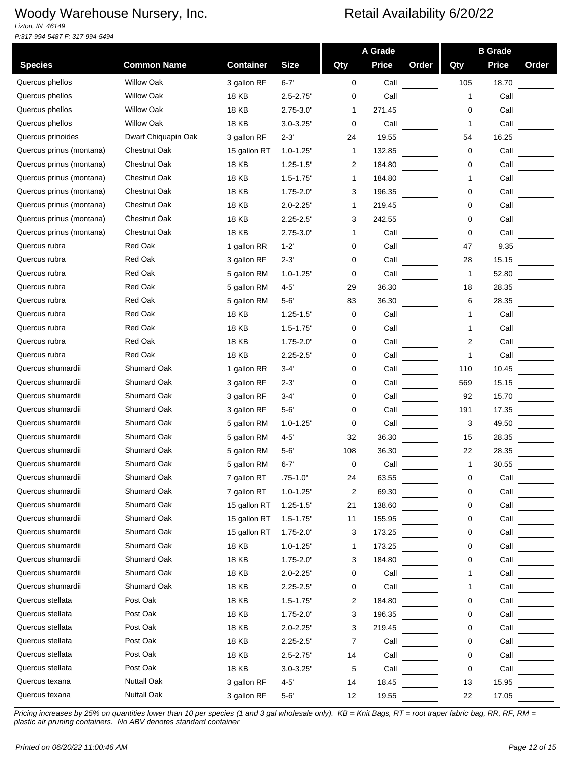*Lizton, IN 46149 P:317-994-5487 F: 317-994-5494*

|                          |                     |                  |                |                | A Grade      |       |     | <b>B</b> Grade |       |
|--------------------------|---------------------|------------------|----------------|----------------|--------------|-------|-----|----------------|-------|
| <b>Species</b>           | <b>Common Name</b>  | <b>Container</b> | <b>Size</b>    | Qty            | <b>Price</b> | Order | Qty | <b>Price</b>   | Order |
| Quercus phellos          | <b>Willow Oak</b>   | 3 gallon RF      | $6 - 7'$       | $\mathbf 0$    | Call         |       | 105 | 18.70          |       |
| Quercus phellos          | <b>Willow Oak</b>   | 18 KB            | $2.5 - 2.75"$  | 0              | Call         |       | 1   | Call           |       |
| Quercus phellos          | <b>Willow Oak</b>   | 18 KB            | $2.75 - 3.0"$  | 1              | 271.45       |       | 0   | Call           |       |
| Quercus phellos          | <b>Willow Oak</b>   | 18 KB            | $3.0 - 3.25"$  | 0              | Call         |       | 1   | Call           |       |
| Quercus prinoides        | Dwarf Chiquapin Oak | 3 gallon RF      | $2 - 3'$       | 24             | 19.55        |       | 54  | 16.25          |       |
| Quercus prinus (montana) | Chestnut Oak        | 15 gallon RT     | $1.0 - 1.25"$  | 1              | 132.85       |       | 0   | Call           |       |
| Quercus prinus (montana) | Chestnut Oak        | <b>18 KB</b>     | $1.25 - 1.5"$  | 2              | 184.80       |       | 0   | Call           |       |
| Quercus prinus (montana) | Chestnut Oak        | 18 KB            | $1.5 - 1.75"$  | 1              | 184.80       |       | 1   | Call           |       |
| Quercus prinus (montana) | <b>Chestnut Oak</b> | 18 KB            | $1.75 - 2.0"$  | 3              | 196.35       |       | 0   | Call           |       |
| Quercus prinus (montana) | <b>Chestnut Oak</b> | 18 KB            | $2.0 - 2.25"$  | 1              | 219.45       |       | 0   | Call           |       |
| Quercus prinus (montana) | Chestnut Oak        | <b>18 KB</b>     | $2.25 - 2.5"$  | 3              | 242.55       |       | 0   | Call           |       |
| Quercus prinus (montana) | <b>Chestnut Oak</b> | <b>18 KB</b>     | $2.75 - 3.0"$  | 1              | Call         |       | 0   | Call           |       |
| Quercus rubra            | <b>Red Oak</b>      | 1 gallon RR      | $1-2'$         | 0              | Call         |       | 47  | 9.35           |       |
| Quercus rubra            | <b>Red Oak</b>      | 3 gallon RF      | $2 - 3'$       | 0              | Call         |       | 28  | 15.15          |       |
| Quercus rubra            | Red Oak             | 5 gallon RM      | $1.0 - 1.25"$  | 0              | Call         |       | 1   | 52.80          |       |
| Quercus rubra            | Red Oak             | 5 gallon RM      | $4 - 5'$       | 29             | 36.30        |       | 18  | 28.35          |       |
| Quercus rubra            | Red Oak             | 5 gallon RM      | $5-6'$         | 83             | 36.30        |       | 6   | 28.35          |       |
| Quercus rubra            | <b>Red Oak</b>      | 18 KB            | $1.25 - 1.5"$  | 0              | Call         |       | 1   | Call           |       |
| Quercus rubra            | Red Oak             | 18 KB            | $1.5 - 1.75"$  | 0              | Call         |       | 1   | Call           |       |
| Quercus rubra            | Red Oak             | 18 KB            | $1.75 - 2.0"$  | 0              | Call         |       | 2   | Call           |       |
| Quercus rubra            | Red Oak             | <b>18 KB</b>     | $2.25 - 2.5"$  | 0              | Call         |       | 1   | Call           |       |
| Quercus shumardii        | Shumard Oak         | 1 gallon RR      | 3-4'           | 0              | Call         |       | 110 | 10.45          |       |
| Quercus shumardii        | Shumard Oak         | 3 gallon RF      | 2-3'           | 0              | Call         |       | 569 | 15.15          |       |
| Quercus shumardii        | Shumard Oak         | 3 gallon RF      | 3-4'           | 0              | Call         |       | 92  | 15.70          |       |
| Quercus shumardii        | Shumard Oak         | 3 gallon RF      | $5 - 6'$       | 0              | Call         |       | 191 | 17.35          |       |
| Quercus shumardii        | <b>Shumard Oak</b>  | 5 gallon RM      | $1.0 - 1.25"$  | 0              | Call         |       | 3   | 49.50          |       |
| Quercus shumardii        | Shumard Oak         | 5 gallon RM      | $4 - 5'$       | 32             | 36.30        |       | 15  | 28.35          |       |
| Quercus shumardii        | Shumard Oak         | 5 gallon RM      | $5 - 6'$       | 108            | 36.30        |       | 22  | 28.35          |       |
| Quercus shumardii        | Shumard Oak         | 5 gallon RM      | 6-7'           | 0              | Call         |       | 1   | 30.55          |       |
| Quercus shumardii        | Shumard Oak         | 7 gallon RT      | .75-1.0"       | 24             | 63.55        |       | 0   | Call           |       |
| Quercus shumardii        | Shumard Oak         | 7 gallon RT      | $1.0 - 1.25"$  | $\overline{2}$ | 69.30        |       | 0   | Call           |       |
| Quercus shumardii        | Shumard Oak         | 15 gallon RT     | $1.25 - 1.5"$  | 21             | 138.60       |       | 0   | Call           |       |
| Quercus shumardii        | Shumard Oak         | 15 gallon RT     | $1.5 - 1.75"$  | 11             | 155.95       |       | 0   | Call           |       |
| Quercus shumardii        | Shumard Oak         | 15 gallon RT     | $1.75 - 2.0"$  | 3              | 173.25       |       | 0   | Call           |       |
| Quercus shumardii        | Shumard Oak         | <b>18 KB</b>     | $1.0 - 1.25"$  | 1              | 173.25       |       | 0   | Call           |       |
| Quercus shumardii        | Shumard Oak         | <b>18 KB</b>     | $1.75 - 2.0"$  | 3              | 184.80       |       | 0   | Call           |       |
| Quercus shumardii        | Shumard Oak         | <b>18 KB</b>     | $2.0 - 2.25"$  | 0              | Call         |       | 1   | Call           |       |
| Quercus shumardii        | Shumard Oak         | <b>18 KB</b>     | $2.25 - 2.5"$  | 0              | Call         |       | 1   | Call           |       |
| Quercus stellata         | Post Oak            | <b>18 KB</b>     | $1.5 - 1.75"$  | 2              | 184.80       |       | 0   | Call           |       |
| Quercus stellata         | Post Oak            | <b>18 KB</b>     | $1.75 - 2.0"$  | 3              | 196.35       |       | 0   | Call           |       |
| Quercus stellata         | Post Oak            | <b>18 KB</b>     | $2.0 - 2.25"$  | 3              | 219.45       |       | 0   | Call           |       |
| Quercus stellata         | Post Oak            | <b>18 KB</b>     | $2.25 - 2.5"$  | 7              | Call         |       | 0   | Call           |       |
| Quercus stellata         | Post Oak            | <b>18 KB</b>     | $2.5 - 2.75"$  | 14             | Call         |       | 0   | Call           |       |
| Quercus stellata         | Post Oak            | <b>18 KB</b>     | $3.0 - 3.25$ " | 5              | Call         |       | 0   | Call           |       |
| Quercus texana           | <b>Nuttall Oak</b>  | 3 gallon RF      | 4-5'           | 14             | 18.45        |       | 13  | 15.95          |       |
| Quercus texana           | <b>Nuttall Oak</b>  | 3 gallon RF      | 5-6'           | 12             | 19.55        |       | 22  | 17.05          |       |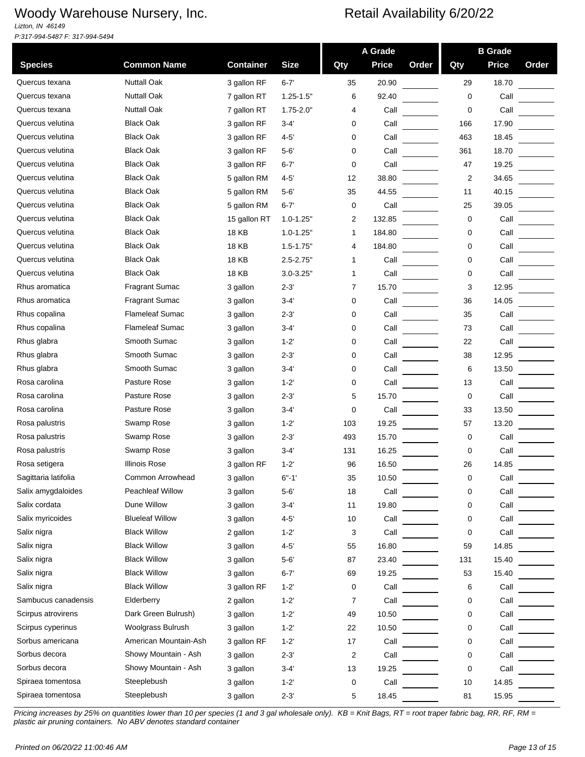*Lizton, IN 46149 P:317-994-5487 F: 317-994-5494*

| <b>Common Name</b><br><b>Size</b><br><b>Price</b><br>Qty<br><b>Price</b><br><b>Species</b><br><b>Container</b><br>Qty<br>Order<br><b>Nuttall Oak</b><br>Quercus texana<br>3 gallon RF<br>$6 - 7'$<br>35<br>20.90<br>29<br>18.70 | Order |
|---------------------------------------------------------------------------------------------------------------------------------------------------------------------------------------------------------------------------------|-------|
|                                                                                                                                                                                                                                 |       |
|                                                                                                                                                                                                                                 |       |
| <b>Nuttall Oak</b><br>Quercus texana<br>Call<br>7 gallon RT<br>$1.25 - 1.5"$<br>6<br>92.40<br>0                                                                                                                                 |       |
| <b>Nuttall Oak</b><br>Quercus texana<br>$1.75 - 2.0"$<br>Call<br>0<br>Call<br>7 gallon RT<br>4                                                                                                                                  |       |
| <b>Black Oak</b><br>Quercus velutina<br>3 gallon RF<br>$3 - 4'$<br>Call<br>166<br>17.90<br>0                                                                                                                                    |       |
| <b>Black Oak</b><br>Quercus velutina<br>3 gallon RF<br>$4 - 5'$<br>Call<br>463<br>18.45<br>0                                                                                                                                    |       |
| <b>Black Oak</b><br>Quercus velutina<br>$5 - 6'$<br>Call<br>18.70<br>3 gallon RF<br>0<br>361                                                                                                                                    |       |
| <b>Black Oak</b><br>Quercus velutina<br>3 gallon RF<br>$6 - 7'$<br>Call<br>47<br>19.25<br>0                                                                                                                                     |       |
| Quercus velutina<br><b>Black Oak</b><br>$\overline{2}$<br>5 gallon RM<br>$4 - 5'$<br>12<br>38.80<br>34.65                                                                                                                       |       |
| <b>Black Oak</b><br>Quercus velutina<br>5 gallon RM<br>$5 - 6'$<br>35<br>44.55<br>11<br>40.15                                                                                                                                   |       |
| Quercus velutina<br><b>Black Oak</b><br>5 gallon RM<br>$6 - 7'$<br>Call<br>39.05<br>0<br>25                                                                                                                                     |       |
| Quercus velutina<br><b>Black Oak</b><br>15 gallon RT<br>2<br>132.85<br>0<br>Call<br>$1.0 - 1.25"$                                                                                                                               |       |
| <b>Black Oak</b><br>Quercus velutina<br>18 KB<br>Call<br>$1.0 - 1.25"$<br>184.80<br>0<br>1                                                                                                                                      |       |
| Quercus velutina<br><b>Black Oak</b><br>18 KB<br>$1.5 - 1.75"$<br>184.80<br>0<br>Call<br>4                                                                                                                                      |       |
| <b>Black Oak</b><br>Quercus velutina<br>Call<br>18 KB<br>Call<br>$2.5 - 2.75"$<br>0<br>1                                                                                                                                        |       |
| <b>Black Oak</b><br>Quercus velutina<br>18 KB<br>$3.0 - 3.25"$<br>Call<br>Call<br>0<br>1                                                                                                                                        |       |
| Rhus aromatica<br><b>Fragrant Sumac</b><br>3<br>3 gallon<br>$2 - 3'$<br>15.70<br>12.95<br>7                                                                                                                                     |       |
| <b>Fragrant Sumac</b><br>Rhus aromatica<br>3 gallon<br>$3 - 4'$<br>Call<br>36<br>14.05<br>0                                                                                                                                     |       |
| <b>Flameleaf Sumac</b><br>Rhus copalina<br>Call<br>3 gallon<br>$2 - 3'$<br>Call<br>35<br>0                                                                                                                                      |       |
| Rhus copalina<br><b>Flameleaf Sumac</b><br>$3 - 4'$<br>Call<br>73<br>Call<br>3 gallon<br>0                                                                                                                                      |       |
| Smooth Sumac<br>Rhus glabra<br>3 gallon<br>$1 - 2'$<br>Call<br>22<br>Call<br>0                                                                                                                                                  |       |
| Smooth Sumac<br>Rhus glabra<br>3 gallon<br>$2 - 3'$<br>Call<br>38<br>12.95<br>0                                                                                                                                                 |       |
| Smooth Sumac<br>Rhus glabra<br>6<br>$3 - 4'$<br>Call<br>13.50<br>3 gallon<br>0                                                                                                                                                  |       |
| Rosa carolina<br>Pasture Rose<br>3 gallon<br>$1 - 2'$<br>Call<br>Call<br>0<br>13                                                                                                                                                |       |
| Rosa carolina<br>Pasture Rose<br>$2 - 3'$<br>5<br>15.70<br>0<br>Call<br>3 gallon                                                                                                                                                |       |
| Pasture Rose<br>Rosa carolina<br>$3 - 4'$<br>0<br>Call<br>33<br>13.50<br>3 gallon                                                                                                                                               |       |
| Swamp Rose<br>Rosa palustris<br>$1 - 2'$<br>19.25<br>13.20<br>3 gallon<br>103<br>57                                                                                                                                             |       |
| Rosa palustris<br>Swamp Rose<br>$2 - 3'$<br>493<br>15.70<br>0<br>Call<br>3 gallon                                                                                                                                               |       |
| Swamp Rose<br>Rosa palustris<br>3 gallon<br>16.25<br>Call<br>3-4'<br>131<br>0                                                                                                                                                   |       |
| <b>Illinois Rose</b><br>Rosa setigera<br>3 gallon RF<br>$1 - 2'$<br>96<br>16.50<br>26<br>14.85                                                                                                                                  |       |
| Sagittaria latifolia<br>Common Arrowhead<br>$6 - 1$<br>35<br>10.50<br>Call<br>3 gallon<br>0                                                                                                                                     |       |
| Salix amygdaloides<br><b>Peachleaf Willow</b><br>$5 - 6'$<br>3 gallon<br>18<br>Call<br>0<br>Call                                                                                                                                |       |
| Dune Willow<br>Salix cordata<br>19.80<br>3 gallon<br>$3 - 4'$<br>11<br>0<br>Call                                                                                                                                                |       |
| Salix myricoides<br><b>Blueleaf Willow</b><br>3 gallon<br>$4 - 5'$<br>10<br>Call<br>0<br>Call                                                                                                                                   |       |
| <b>Black Willow</b><br>Salix nigra<br>2 gallon<br>$1 - 2'$<br>3<br>Call<br>Call<br>0                                                                                                                                            |       |
| <b>Black Willow</b><br>Salix nigra<br>$4 - 5'$<br>3 gallon<br>55<br>16.80<br>59<br>14.85                                                                                                                                        |       |
| Salix nigra<br><b>Black Willow</b><br>3 gallon<br>$5 - 6'$<br>87<br>131<br>23.40<br>15.40                                                                                                                                       |       |
| Salix nigra<br><b>Black Willow</b><br>3 gallon<br>$6 - 7'$<br>69<br>19.25<br>53<br>15.40                                                                                                                                        |       |
| <b>Black Willow</b><br>Salix nigra<br>6<br>3 gallon RF<br>Call<br>Call<br>$1 - 2'$<br>0                                                                                                                                         |       |
| Sambucus canadensis<br>Elderberry<br>2 gallon<br>$1 - 2'$<br>Call<br>Call<br>7<br>0                                                                                                                                             |       |
| Scirpus atrovirens<br>Dark Green Bulrush)<br>$1 - 2'$<br>3 gallon<br>49<br>0<br>Call<br>10.50                                                                                                                                   |       |
| Woolgrass Bulrush<br>Scirpus cyperinus<br>3 gallon<br>$1 - 2'$<br>22<br>10.50<br>0<br>Call                                                                                                                                      |       |
| Sorbus americana<br>American Mountain-Ash<br>3 gallon RF<br>$1 - 2'$<br>17<br>Call<br>0<br>Call                                                                                                                                 |       |
| Sorbus decora<br>Showy Mountain - Ash<br>2<br>3 gallon<br>$2 - 3'$<br>Call<br>0<br>Call                                                                                                                                         |       |
| Sorbus decora<br>Showy Mountain - Ash<br>3 gallon<br>$3 - 4'$<br>13<br>19.25<br>0<br>Call                                                                                                                                       |       |
| Spiraea tomentosa<br>Steeplebush<br>3 gallon<br>$1 - 2'$<br>0<br>Call<br>10<br>14.85                                                                                                                                            |       |
| Steeplebush<br>Spiraea tomentosa<br>$2 - 3'$<br>5<br>18.45<br>81<br>15.95<br>3 gallon                                                                                                                                           |       |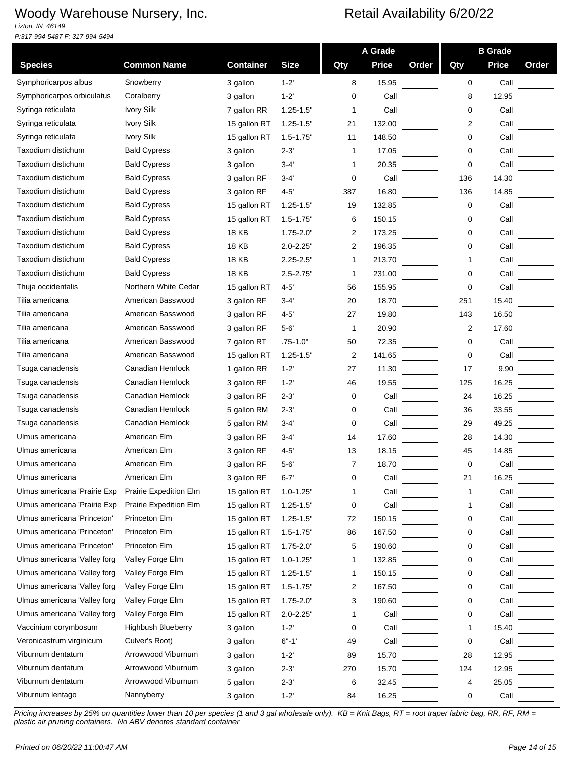*Lizton, IN 46149 P:317-994-5487 F: 317-994-5494*

|                              |                        |                  |               | A Grade        |              |       | <b>B</b> Grade |              |       |
|------------------------------|------------------------|------------------|---------------|----------------|--------------|-------|----------------|--------------|-------|
| <b>Species</b>               | <b>Common Name</b>     | <b>Container</b> | <b>Size</b>   | Qty            | <b>Price</b> | Order | Qty            | <b>Price</b> | Order |
| Symphoricarpos albus         | Snowberry              | 3 gallon         | $1 - 2'$      | 8              | 15.95        |       | 0              | Call         |       |
| Symphoricarpos orbiculatus   | Coralberry             | 3 gallon         | $1 - 2'$      | 0              | Call         |       | 8              | 12.95        |       |
| Syringa reticulata           | <b>Ivory Silk</b>      | 7 gallon RR      | $1.25 - 1.5"$ | 1              | Call         |       | 0              | Call         |       |
| Syringa reticulata           | <b>Ivory Silk</b>      | 15 gallon RT     | $1.25 - 1.5"$ | 21             | 132.00       |       | 2              | Call         |       |
| Syringa reticulata           | <b>Ivory Silk</b>      | 15 gallon RT     | $1.5 - 1.75"$ | 11             | 148.50       |       | 0              | Call         |       |
| Taxodium distichum           | <b>Bald Cypress</b>    | 3 gallon         | $2 - 3'$      | 1              | 17.05        |       | 0              | Call         |       |
| Taxodium distichum           | <b>Bald Cypress</b>    | 3 gallon         | $3 - 4'$      | 1              | 20.35        |       | 0              | Call         |       |
| Taxodium distichum           | <b>Bald Cypress</b>    | 3 gallon RF      | $3-4'$        | 0              | Call         |       | 136            | 14.30        |       |
| Taxodium distichum           | <b>Bald Cypress</b>    | 3 gallon RF      | $4 - 5'$      | 387            | 16.80        |       | 136            | 14.85        |       |
| Taxodium distichum           | <b>Bald Cypress</b>    | 15 gallon RT     | $1.25 - 1.5"$ | 19             | 132.85       |       | 0              | Call         |       |
| Taxodium distichum           | <b>Bald Cypress</b>    | 15 gallon RT     | $1.5 - 1.75"$ | 6              | 150.15       |       | 0              | Call         |       |
| Taxodium distichum           | <b>Bald Cypress</b>    | <b>18 KB</b>     | $1.75 - 2.0"$ | 2              | 173.25       |       | 0              | Call         |       |
| Taxodium distichum           | <b>Bald Cypress</b>    | <b>18 KB</b>     | $2.0 - 2.25"$ | $\overline{2}$ | 196.35       |       | 0              | Call         |       |
| Taxodium distichum           | <b>Bald Cypress</b>    | 18 KB            | $2.25 - 2.5"$ | 1              | 213.70       |       | 1              | Call         |       |
| Taxodium distichum           | <b>Bald Cypress</b>    | 18 KB            | $2.5 - 2.75"$ | $\mathbf 1$    | 231.00       |       | 0              | Call         |       |
| Thuja occidentalis           | Northern White Cedar   | 15 gallon RT     | $4 - 5'$      | 56             | 155.95       |       | 0              | Call         |       |
| Tilia americana              | American Basswood      | 3 gallon RF      | $3 - 4'$      | 20             | 18.70        |       | 251            | 15.40        |       |
| Tilia americana              | American Basswood      | 3 gallon RF      | $4 - 5'$      | 27             | 19.80        |       | 143            | 16.50        |       |
| Tilia americana              | American Basswood      | 3 gallon RF      | $5 - 6'$      | $\mathbf{1}$   | 20.90        |       | $\overline{2}$ | 17.60        |       |
| Tilia americana              | American Basswood      | 7 gallon RT      | $.75 - 1.0"$  | 50             | 72.35        |       | 0              | Call         |       |
| Tilia americana              | American Basswood      | 15 gallon RT     | $1.25 - 1.5"$ | 2              | 141.65       |       | 0              | Call         |       |
| Tsuga canadensis             | Canadian Hemlock       | 1 gallon RR      | $1 - 2'$      | 27             | 11.30        |       | 17             | 9.90         |       |
| Tsuga canadensis             | Canadian Hemlock       | 3 gallon RF      | $1 - 2'$      | 46             | 19.55        |       | 125            | 16.25        |       |
| Tsuga canadensis             | Canadian Hemlock       | 3 gallon RF      | $2 - 3'$      | 0              | Call         |       | 24             | 16.25        |       |
| Tsuga canadensis             | Canadian Hemlock       | 5 gallon RM      | $2 - 3'$      | 0              | Call         |       | 36             | 33.55        |       |
| Tsuga canadensis             | Canadian Hemlock       | 5 gallon RM      | $3 - 4'$      | 0              | Call         |       | 29             | 49.25        |       |
| Ulmus americana              | American Elm           | 3 gallon RF      | $3-4'$        | 14             | 17.60        |       | 28             | 14.30        |       |
| Ulmus americana              | American Elm           | 3 gallon RF      | $4 - 5'$      | 13             | 18.15        |       | 45             | 14.85        |       |
| Ulmus americana              | American Elm           | 3 gallon RF      | $5 - 6'$      | 7              | 18.70        |       | 0              | Call         |       |
| Ulmus americana              | American Elm           | 3 gallon RF      | $6 - 7$       | U              | Call         |       | 21             | 16.25        |       |
| Ulmus americana 'Prairie Exp | Prairie Expedition Elm | 15 gallon RT     | $1.0 - 1.25"$ | 1              | Call         |       | 1              | Call         |       |
| Ulmus americana 'Prairie Exp | Prairie Expedition Elm | 15 gallon RT     | $1.25 - 1.5"$ | 0              | Call         |       | 1              | Call         |       |
| Ulmus americana 'Princeton'  | Princeton Elm          | 15 gallon RT     | $1.25 - 1.5"$ | 72             | 150.15       |       | 0              | Call         |       |
| Ulmus americana 'Princeton'  | Princeton Elm          | 15 gallon RT     | $1.5 - 1.75"$ | 86             | 167.50       |       | 0              | Call         |       |
| Ulmus americana 'Princeton'  | Princeton Elm          | 15 gallon RT     | $1.75 - 2.0"$ | 5              | 190.60       |       | 0              | Call         |       |
| Ulmus americana 'Valley forg | Valley Forge Elm       | 15 gallon RT     | $1.0 - 1.25"$ | 1              | 132.85       |       | 0              | Call         |       |
| Ulmus americana 'Valley forg | Valley Forge Elm       | 15 gallon RT     | $1.25 - 1.5"$ | 1              | 150.15       |       | 0              | Call         |       |
| Ulmus americana 'Valley forg | Valley Forge Elm       | 15 gallon RT     | $1.5 - 1.75"$ | 2              | 167.50       |       | 0              | Call         |       |
| Ulmus americana 'Valley forg | Valley Forge Elm       | 15 gallon RT     | $1.75 - 2.0"$ | 3              | 190.60       |       | 0              | Call         |       |
| Ulmus americana 'Valley forg | Valley Forge Elm       | 15 gallon RT     | $2.0 - 2.25"$ | 1              | Call         |       | 0              | Call         |       |
| Vaccinium corymbosum         | Highbush Blueberry     | 3 gallon         | $1 - 2'$      | 0              | Call         |       | 1              | 15.40        |       |
| Veronicastrum virginicum     | Culver's Root)         | 3 gallon         | $6 - 1'$      | 49             | Call         |       | 0              | Call         |       |
| Viburnum dentatum            | Arrowwood Viburnum     | 3 gallon         | $1 - 2'$      | 89             | 15.70        |       | 28             | 12.95        |       |
| Viburnum dentatum            | Arrowwood Viburnum     | 3 gallon         | $2 - 3'$      | 270            | 15.70        |       | 124            | 12.95        |       |
| Viburnum dentatum            | Arrowwood Viburnum     | 5 gallon         | $2 - 3'$      | 6              | 32.45        |       | 4              | 25.05        |       |
| Viburnum lentago             | Nannyberry             | 3 gallon         | $1 - 2'$      | 84             | 16.25        |       | 0              | Call         |       |
|                              |                        |                  |               |                |              |       |                |              |       |